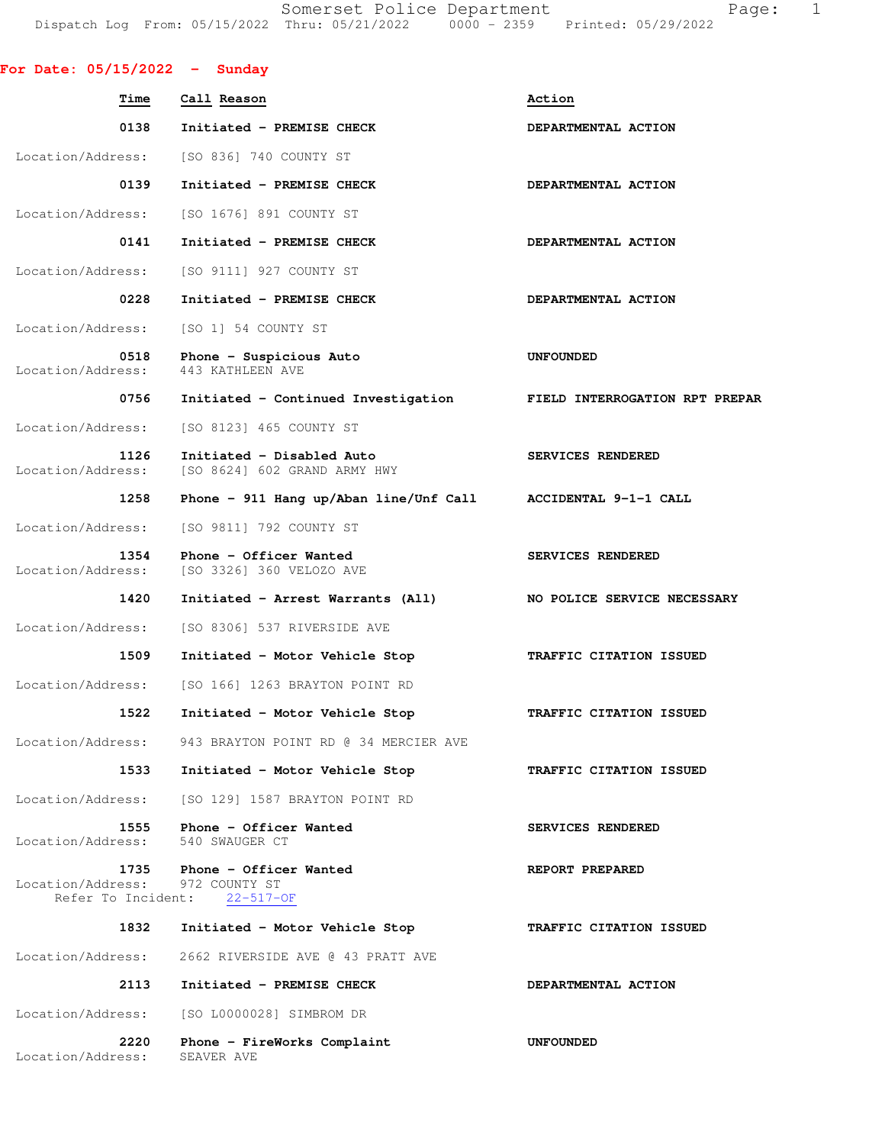Somerset Police Department Fage: 1 Dispatch Log From: 05/15/2022 Thru: 05/21/2022 0000 - 2359 Printed: 05/29/2022

| For Date: $05/15/2022 -$ Sunday                 |                                                                    |                                |
|-------------------------------------------------|--------------------------------------------------------------------|--------------------------------|
| Time                                            | Call Reason                                                        | Action                         |
| 0138                                            | Initiated - PREMISE CHECK                                          | DEPARTMENTAL ACTION            |
| Location/Address:                               | [SO 836] 740 COUNTY ST                                             |                                |
| 0139                                            | Initiated - PREMISE CHECK                                          | DEPARTMENTAL ACTION            |
| Location/Address:                               | [SO 1676] 891 COUNTY ST                                            |                                |
| 0141                                            | Initiated - PREMISE CHECK                                          | DEPARTMENTAL ACTION            |
| Location/Address:                               | [SO 9111] 927 COUNTY ST                                            |                                |
| 0228                                            | Initiated - PREMISE CHECK                                          | DEPARTMENTAL ACTION            |
| Location/Address:                               | [SO 1] 54 COUNTY ST                                                |                                |
| 0518<br>Location/Address:                       | Phone - Suspicious Auto<br>443 KATHLEEN AVE                        | UNFOUNDED                      |
| 0756                                            | Initiated - Continued Investigation FIELD INTERROGATION RPT PREPAR |                                |
| Location/Address:                               | [SO 8123] 465 COUNTY ST                                            |                                |
| 1126<br>Location/Address:                       | Initiated - Disabled Auto<br>[SO 8624] 602 GRAND ARMY HWY          | SERVICES RENDERED              |
| 1258                                            | Phone - 911 Hang up/Aban line/Unf Call ACCIDENTAL 9-1-1 CALL       |                                |
| Location/Address:                               | [SO 9811] 792 COUNTY ST                                            |                                |
| 1354<br>Location/Address:                       | Phone - Officer Wanted<br>[SO 3326] 360 VELOZO AVE                 | SERVICES RENDERED              |
| 1420                                            | Initiated - Arrest Warrants (All)                                  | NO POLICE SERVICE NECESSARY    |
| Location/Address:                               | [SO 8306] 537 RIVERSIDE AVE                                        |                                |
| 1509                                            | Initiated - Motor Vehicle Stop                                     | TRAFFIC CITATION ISSUED        |
| Location/Address:                               | [SO 166] 1263 BRAYTON POINT RD                                     |                                |
| 1522                                            | Initiated - Motor Vehicle Stop                                     | <b>TRAFFIC CITATION ISSUED</b> |
| Location/Address:                               | 943 BRAYTON POINT RD @ 34 MERCIER AVE                              |                                |
| 1533                                            | Initiated - Motor Vehicle Stop                                     | TRAFFIC CITATION ISSUED        |
| Location/Address:                               | [SO 129] 1587 BRAYTON POINT RD                                     |                                |
| 1555<br>Location/Address:                       | Phone - Officer Wanted<br>540 SWAUGER CT                           | SERVICES RENDERED              |
| 1735<br>Location/Address:<br>Refer To Incident: | Phone - Officer Wanted<br>972 COUNTY ST<br>$22 - 517 - OF$         | REPORT PREPARED                |
| 1832                                            | Initiated - Motor Vehicle Stop                                     | TRAFFIC CITATION ISSUED        |
| Location/Address:                               | 2662 RIVERSIDE AVE @ 43 PRATT AVE                                  |                                |
| 2113                                            | Initiated - PREMISE CHECK                                          | DEPARTMENTAL ACTION            |
| Location/Address:                               | [SO L0000028] SIMBROM DR                                           |                                |
| 2220                                            | Phone - FireWorks Complaint                                        | <b>UNFOUNDED</b>               |

Location/Address: SEAVER AVE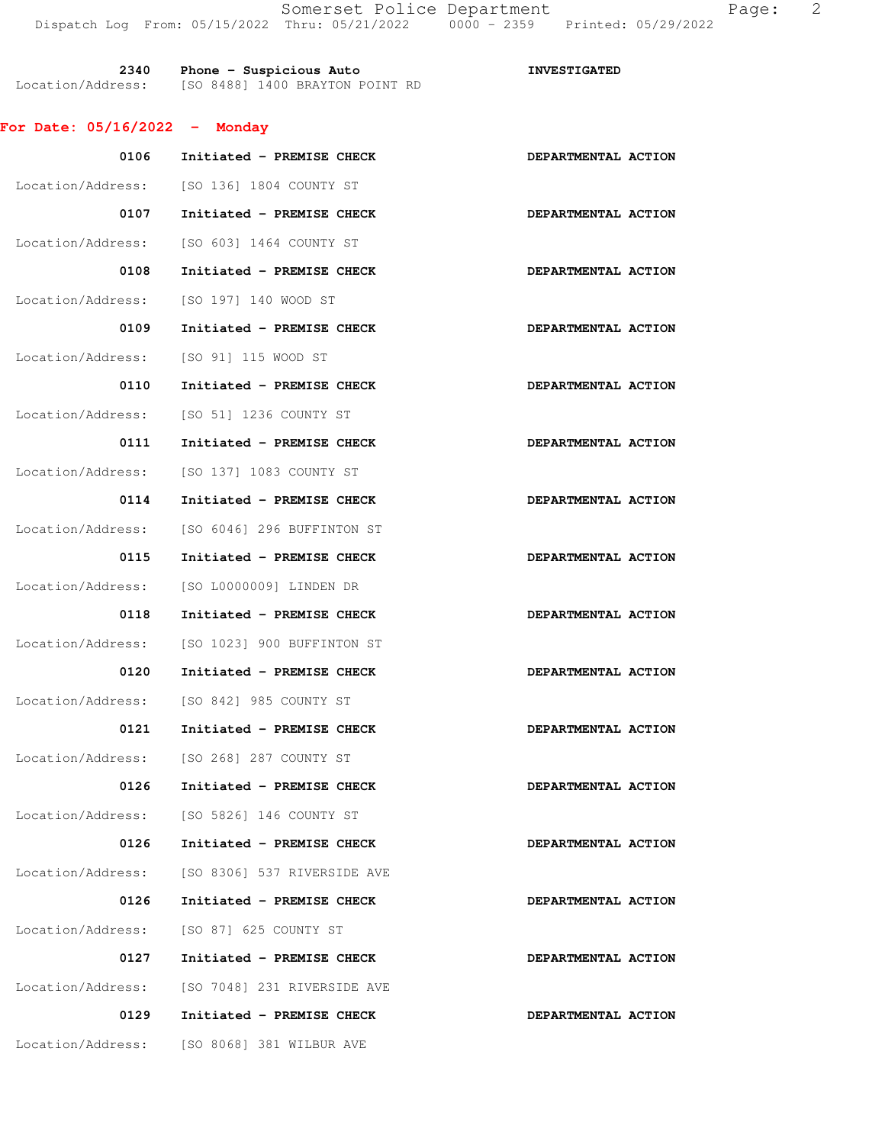| 2340              | Phone - Suspicious Auto         | <b>INVESTIGATED</b> |
|-------------------|---------------------------------|---------------------|
| Location/Address: | [SO 8488] 1400 BRAYTON POINT RD |                     |

## **For Date: 05/16/2022 - Monday**

| 0106              | Initiated - PREMISE CHECK                 | DEPARTMENTAL ACTION |
|-------------------|-------------------------------------------|---------------------|
| Location/Address: | [SO 136] 1804 COUNTY ST                   |                     |
| 0107              | Initiated - PREMISE CHECK                 | DEPARTMENTAL ACTION |
| Location/Address: | [SO 603] 1464 COUNTY ST                   |                     |
| 0108              | Initiated - PREMISE CHECK                 | DEPARTMENTAL ACTION |
| Location/Address: | [SO 197] 140 WOOD ST                      |                     |
| 0109              | Initiated - PREMISE CHECK                 | DEPARTMENTAL ACTION |
| Location/Address: | [SO 91] 115 WOOD ST                       |                     |
| 0110              | Initiated - PREMISE CHECK                 | DEPARTMENTAL ACTION |
| Location/Address: | [SO 51] 1236 COUNTY ST                    |                     |
| 0111              | Initiated - PREMISE CHECK                 | DEPARTMENTAL ACTION |
| Location/Address: | [SO 137] 1083 COUNTY ST                   |                     |
| 0114              | Initiated - PREMISE CHECK                 | DEPARTMENTAL ACTION |
| Location/Address: | [SO 6046] 296 BUFFINTON ST                |                     |
| 0115              | Initiated - PREMISE CHECK                 | DEPARTMENTAL ACTION |
| Location/Address: | [SO L0000009] LINDEN DR                   |                     |
| 0118              | Initiated - PREMISE CHECK                 | DEPARTMENTAL ACTION |
| Location/Address: | [SO 1023] 900 BUFFINTON ST                |                     |
| 0120              | Initiated - PREMISE CHECK                 | DEPARTMENTAL ACTION |
| Location/Address: | [SO 842] 985 COUNTY ST                    |                     |
| 0121              | Initiated - PREMISE CHECK                 | DEPARTMENTAL ACTION |
|                   | Location/Address: [SO 268] 287 COUNTY ST  |                     |
| 0126              | Initiated - PREMISE CHECK                 | DEPARTMENTAL ACTION |
|                   | Location/Address: [SO 5826] 146 COUNTY ST |                     |
| 0126              | Initiated - PREMISE CHECK                 | DEPARTMENTAL ACTION |
| Location/Address: | [SO 8306] 537 RIVERSIDE AVE               |                     |
| 0126              | Initiated - PREMISE CHECK                 | DEPARTMENTAL ACTION |
| Location/Address: | [SO 87] 625 COUNTY ST                     |                     |
| 0127              | Initiated - PREMISE CHECK                 | DEPARTMENTAL ACTION |
| Location/Address: | [SO 7048] 231 RIVERSIDE AVE               |                     |
| 0129              | Initiated - PREMISE CHECK                 | DEPARTMENTAL ACTION |
| Location/Address: | [SO 8068] 381 WILBUR AVE                  |                     |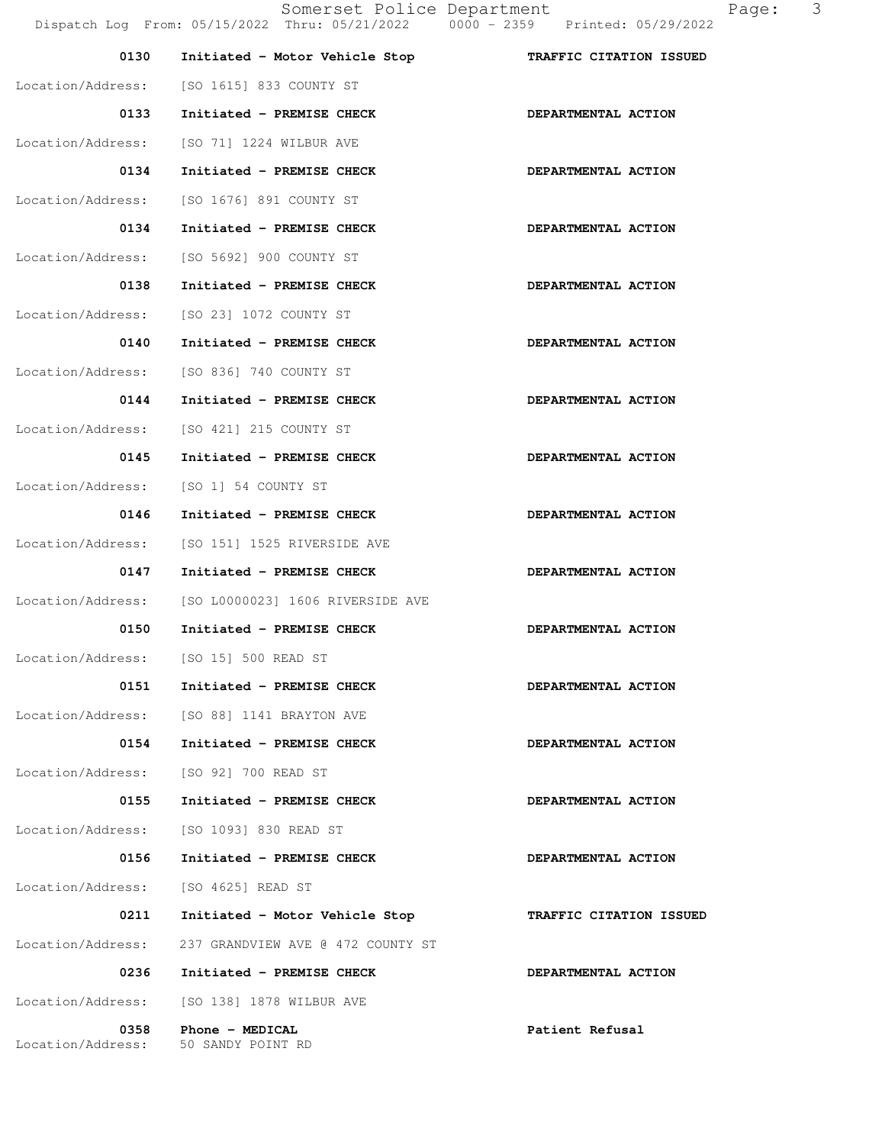| 0130                      | Initiated - Motor Vehicle Stop                      | TRAFFIC CITATION ISSUED |
|---------------------------|-----------------------------------------------------|-------------------------|
|                           | Location/Address: [SO 1615] 833 COUNTY ST           |                         |
| 0133                      | Initiated - PREMISE CHECK                           | DEPARTMENTAL ACTION     |
|                           | Location/Address: [SO 71] 1224 WILBUR AVE           |                         |
| 0134                      | Initiated - PREMISE CHECK                           | DEPARTMENTAL ACTION     |
| Location/Address:         | [SO 1676] 891 COUNTY ST                             |                         |
| 0134                      | Initiated - PREMISE CHECK                           | DEPARTMENTAL ACTION     |
| Location/Address:         | [SO 5692] 900 COUNTY ST                             |                         |
| 0138                      | Initiated - PREMISE CHECK                           | DEPARTMENTAL ACTION     |
|                           | Location/Address: [SO 23] 1072 COUNTY ST            |                         |
| 0140                      | Initiated - PREMISE CHECK                           | DEPARTMENTAL ACTION     |
|                           | Location/Address: [SO 836] 740 COUNTY ST            |                         |
| 0144                      | Initiated - PREMISE CHECK                           | DEPARTMENTAL ACTION     |
| Location/Address:         | [SO 421] 215 COUNTY ST                              |                         |
| 0145                      | Initiated - PREMISE CHECK                           | DEPARTMENTAL ACTION     |
| Location/Address:         | [SO 1] 54 COUNTY ST                                 |                         |
| 0146                      | Initiated - PREMISE CHECK                           | DEPARTMENTAL ACTION     |
| Location/Address:         | [SO 151] 1525 RIVERSIDE AVE                         |                         |
| 0147                      | Initiated - PREMISE CHECK                           | DEPARTMENTAL ACTION     |
| Location/Address:         | [SO L0000023] 1606 RIVERSIDE AVE                    |                         |
| 0150                      | Initiated - PREMISE CHECK                           | DEPARTMENTAL ACTION     |
|                           | Location/Address: [SO 15] 500 READ ST               |                         |
| 0151                      | Initiated - PREMISE CHECK                           | DEPARTMENTAL ACTION     |
|                           | Location/Address: [SO 88] 1141 BRAYTON AVE          |                         |
|                           | 0154 Initiated - PREMISE CHECK                      | DEPARTMENTAL ACTION     |
|                           | Location/Address: [SO 92] 700 READ ST               |                         |
| 0155                      | Initiated - PREMISE CHECK                           | DEPARTMENTAL ACTION     |
|                           | Location/Address: [SO 1093] 830 READ ST             |                         |
| 0156                      | Initiated - PREMISE CHECK                           | DEPARTMENTAL ACTION     |
|                           | Location/Address: [SO 4625] READ ST                 |                         |
| 0211                      | Initiated - Motor Vehicle Stop                      | TRAFFIC CITATION ISSUED |
|                           | Location/Address: 237 GRANDVIEW AVE @ 472 COUNTY ST |                         |
| 0236                      | Initiated - PREMISE CHECK                           | DEPARTMENTAL ACTION     |
|                           | Location/Address: [SO 138] 1878 WILBUR AVE          |                         |
| 0358<br>Location/Address: | Phone - MEDICAL<br>50 SANDY POINT RD                | Patient Refusal         |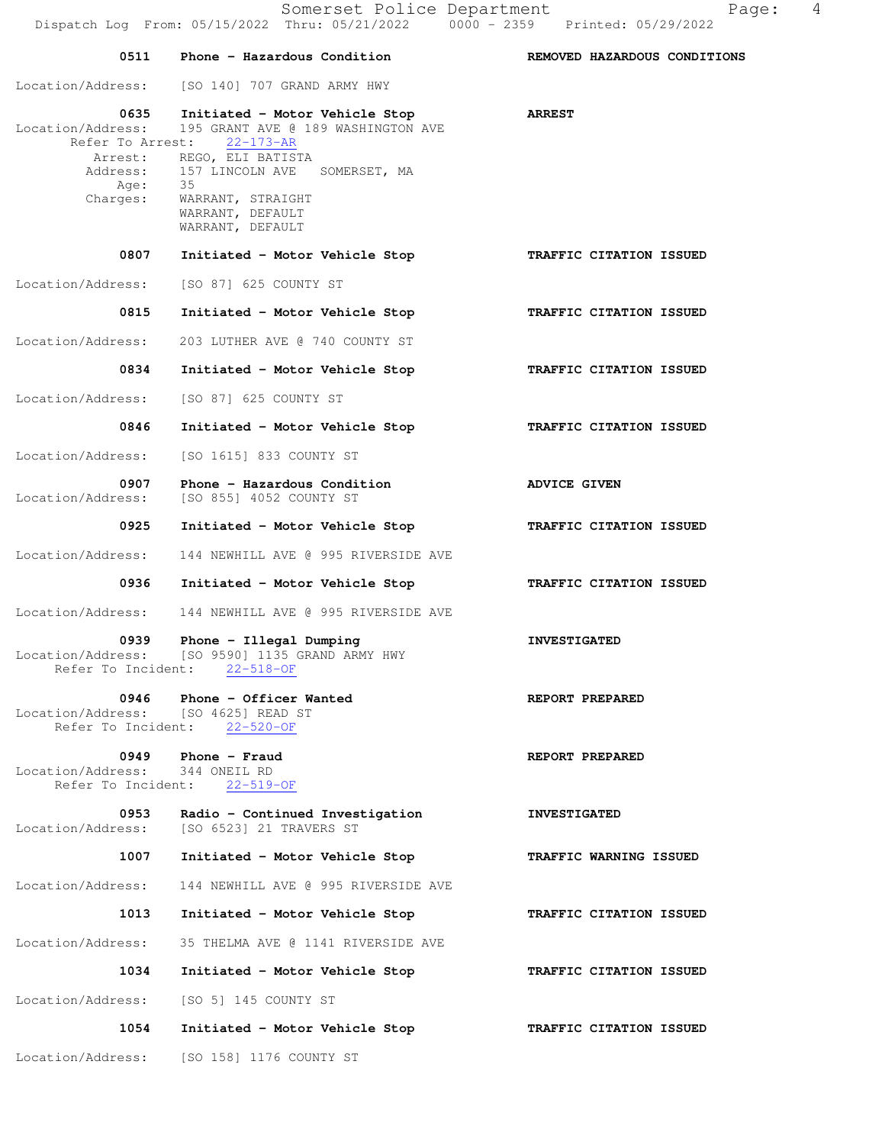|                                                                               | 0511 Phone - Hazardous Condition                                                                                                                                                                                        | REMOVED HAZARDOUS CONDITIONS |
|-------------------------------------------------------------------------------|-------------------------------------------------------------------------------------------------------------------------------------------------------------------------------------------------------------------------|------------------------------|
|                                                                               | Location/Address: [SO 140] 707 GRAND ARMY HWY                                                                                                                                                                           |                              |
| 0635<br>Location/Address:<br>Refer To Arrest:<br>Address:<br>Age:<br>Charges: | Initiated - Motor Vehicle Stop<br>195 GRANT AVE @ 189 WASHINGTON AVE<br>$22 - 173 - AR$<br>Arrest: REGO, ELI BATISTA<br>157 LINCOLN AVE SOMERSET, MA<br>35<br>WARRANT, STRAIGHT<br>WARRANT, DEFAULT<br>WARRANT, DEFAULT | <b>ARREST</b>                |
| 0807                                                                          | Initiated - Motor Vehicle Stop                                                                                                                                                                                          | TRAFFIC CITATION ISSUED      |
|                                                                               | Location/Address: [SO 87] 625 COUNTY ST                                                                                                                                                                                 |                              |
| 0815                                                                          | Initiated - Motor Vehicle Stop                                                                                                                                                                                          | TRAFFIC CITATION ISSUED      |
| Location/Address:                                                             | 203 LUTHER AVE @ 740 COUNTY ST                                                                                                                                                                                          |                              |
| 0834                                                                          | Initiated - Motor Vehicle Stop                                                                                                                                                                                          | TRAFFIC CITATION ISSUED      |
|                                                                               | Location/Address: [SO 87] 625 COUNTY ST                                                                                                                                                                                 |                              |
| 0846                                                                          | Initiated - Motor Vehicle Stop                                                                                                                                                                                          | TRAFFIC CITATION ISSUED      |
|                                                                               | Location/Address: [SO 1615] 833 COUNTY ST                                                                                                                                                                               |                              |
| 0907<br>Location/Address:                                                     | Phone - Hazardous Condition<br>[SO 855] 4052 COUNTY ST                                                                                                                                                                  | ADVICE GIVEN                 |
| 0925                                                                          | Initiated - Motor Vehicle Stop                                                                                                                                                                                          | TRAFFIC CITATION ISSUED      |
| Location/Address:                                                             | 144 NEWHILL AVE @ 995 RIVERSIDE AVE                                                                                                                                                                                     |                              |
| 0936                                                                          | Initiated - Motor Vehicle Stop                                                                                                                                                                                          | TRAFFIC CITATION ISSUED      |
| Location/Address:                                                             | 144 NEWHILL AVE @ 995 RIVERSIDE AVE                                                                                                                                                                                     |                              |
| 0939<br>Refer To Incident:                                                    | Phone - Illegal Dumping<br>Location/Address: [SO 9590] 1135 GRAND ARMY HWY<br>$22 - 518 - OF$                                                                                                                           | <b>INVESTIGATED</b>          |
| 0946<br>Location/Address:<br>Refer To Incident:                               | Phone - Officer Wanted<br>[SO 4625] READ ST<br>$22 - 520 - OF$                                                                                                                                                          | REPORT PREPARED              |
| 0949<br>Location/Address:                                                     | Phone $-$ Fraud<br>344 ONEIL RD<br>Refer To Incident: 22-519-OF                                                                                                                                                         | REPORT PREPARED              |
| 0953<br>Location/Address:                                                     | Radio - Continued Investigation<br>[SO 6523] 21 TRAVERS ST                                                                                                                                                              | <b>INVESTIGATED</b>          |
| 1007                                                                          | Initiated - Motor Vehicle Stop                                                                                                                                                                                          | TRAFFIC WARNING ISSUED       |
| Location/Address:                                                             | 144 NEWHILL AVE @ 995 RIVERSIDE AVE                                                                                                                                                                                     |                              |
| 1013                                                                          | Initiated - Motor Vehicle Stop                                                                                                                                                                                          | TRAFFIC CITATION ISSUED      |
| Location/Address:                                                             | 35 THELMA AVE @ 1141 RIVERSIDE AVE                                                                                                                                                                                      |                              |
| 1034                                                                          | Initiated - Motor Vehicle Stop                                                                                                                                                                                          | TRAFFIC CITATION ISSUED      |
| Location/Address:                                                             | [SO 5] 145 COUNTY ST                                                                                                                                                                                                    |                              |
| 1054                                                                          | Initiated - Motor Vehicle Stop                                                                                                                                                                                          | TRAFFIC CITATION ISSUED      |
| Location/Address:                                                             | [SO 158] 1176 COUNTY ST                                                                                                                                                                                                 |                              |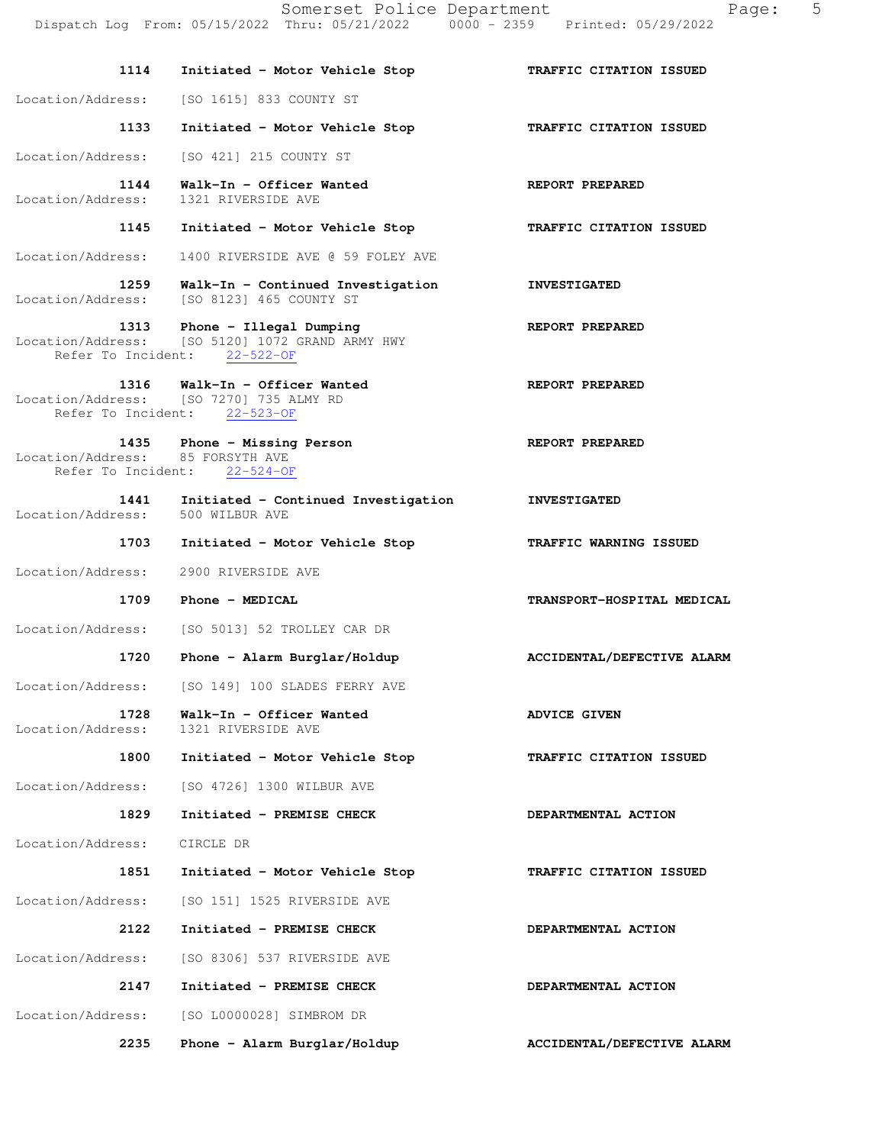| 1114                                     | Initiated - Motor Vehicle Stop                                                                             | TRAFFIC CITATION ISSUED    |
|------------------------------------------|------------------------------------------------------------------------------------------------------------|----------------------------|
| Location/Address:                        | [SO 1615] 833 COUNTY ST                                                                                    |                            |
| 1133                                     | Initiated - Motor Vehicle Stop                                                                             | TRAFFIC CITATION ISSUED    |
| Location/Address:                        | [SO 421] 215 COUNTY ST                                                                                     |                            |
| 1144<br>Location/Address:                | Walk-In - Officer Wanted<br>1321 RIVERSIDE AVE                                                             | REPORT PREPARED            |
| 1145                                     | Initiated - Motor Vehicle Stop                                                                             | TRAFFIC CITATION ISSUED    |
|                                          | Location/Address: 1400 RIVERSIDE AVE @ 59 FOLEY AVE                                                        |                            |
| 1259                                     | Walk-In - Continued Investigation<br>Location/Address: [SO 8123] 465 COUNTY ST                             | <b>INVESTIGATED</b>        |
| 1313                                     | Phone - Illegal Dumping<br>Location/Address: [SO 5120] 1072 GRAND ARMY HWY<br>Refer To Incident: 22-522-OF | REPORT PREPARED            |
|                                          | 1316 Walk-In - Officer Wanted<br>Location/Address: [SO 7270] 735 ALMY RD<br>Refer To Incident: 22-523-OF   | REPORT PREPARED            |
| Location/Address: 85 FORSYTH AVE         | 1435 Phone - Missing Person<br>Refer To Incident: 22-524-OF                                                | REPORT PREPARED            |
| 1441<br>Location/Address: 500 WILBUR AVE | Initiated - Continued Investigation                                                                        | <b>INVESTIGATED</b>        |
| 1703                                     | Initiated - Motor Vehicle Stop                                                                             | TRAFFIC WARNING ISSUED     |
| Location/Address:                        | 2900 RIVERSIDE AVE                                                                                         |                            |
| 1709                                     | Phone - MEDICAL                                                                                            | TRANSPORT-HOSPITAL MEDICAL |
| Location/Address:                        | [SO 5013] 52 TROLLEY CAR DR                                                                                |                            |
| 1720                                     | Phone - Alarm Burglar/Holdup                                                                               | ACCIDENTAL/DEFECTIVE ALARM |
| Location/Address:                        | [SO 149] 100 SLADES FERRY AVE                                                                              |                            |
| 1728<br>Location/Address:                | Walk-In - Officer Wanted<br>1321 RIVERSIDE AVE                                                             | <b>ADVICE GIVEN</b>        |
| 1800                                     | Initiated - Motor Vehicle Stop                                                                             | TRAFFIC CITATION ISSUED    |
|                                          | Location/Address: [SO 4726] 1300 WILBUR AVE                                                                |                            |
| 1829                                     | Initiated - PREMISE CHECK                                                                                  | DEPARTMENTAL ACTION        |
| Location/Address:                        | CIRCLE DR                                                                                                  |                            |
| 1851                                     | Initiated - Motor Vehicle Stop                                                                             | TRAFFIC CITATION ISSUED    |
| Location/Address:                        | [SO 151] 1525 RIVERSIDE AVE                                                                                |                            |
| 2122                                     | Initiated - PREMISE CHECK                                                                                  | DEPARTMENTAL ACTION        |
| Location/Address:                        | [SO 8306] 537 RIVERSIDE AVE                                                                                |                            |
| 2147                                     | Initiated - PREMISE CHECK                                                                                  | DEPARTMENTAL ACTION        |
| Location/Address:                        | [SO L0000028] SIMBROM DR                                                                                   |                            |
| 2235                                     | Phone - Alarm Burglar/Holdup                                                                               | ACCIDENTAL/DEFECTIVE ALARM |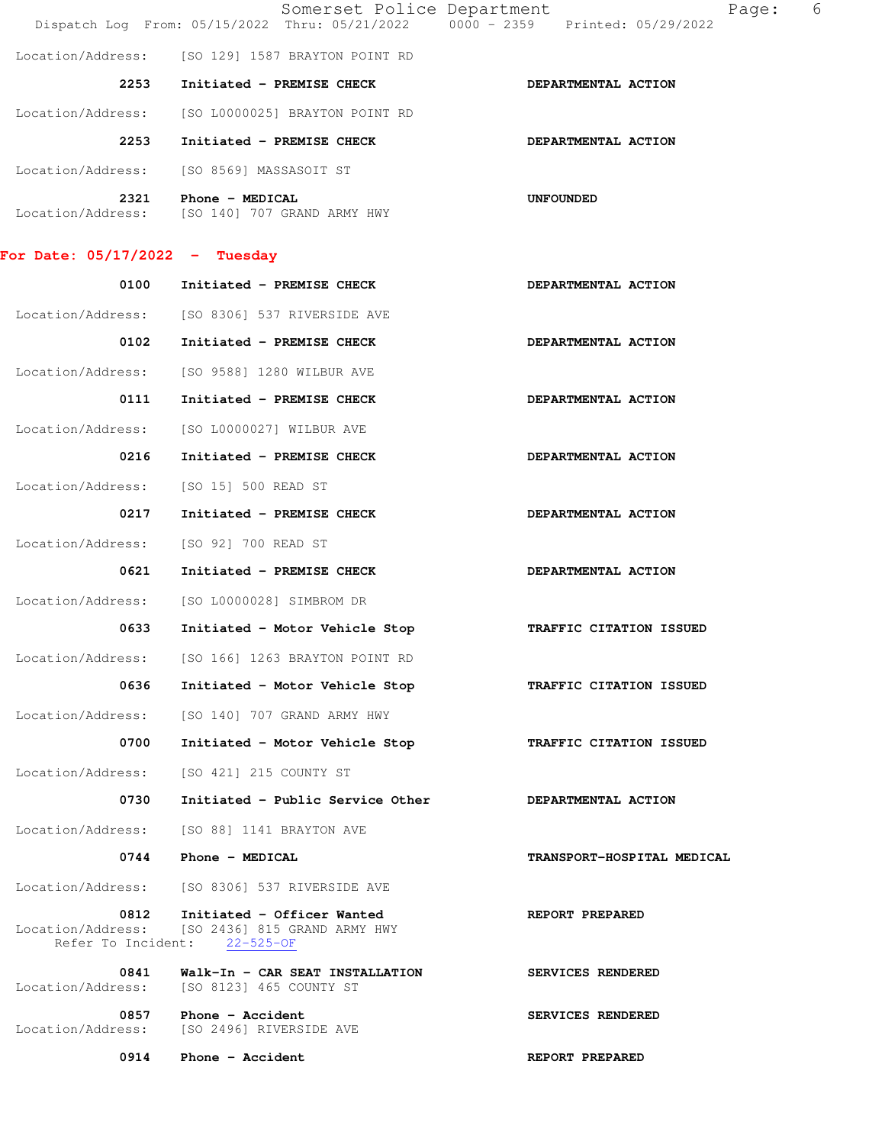|                                  | Somerset Police Department<br>Dispatch Log From: 05/15/2022 Thru: 05/21/2022 0000 - 2359 Printed: 05/29/2022 | Page:                      | 6 |
|----------------------------------|--------------------------------------------------------------------------------------------------------------|----------------------------|---|
|                                  | Location/Address: [SO 129] 1587 BRAYTON POINT RD                                                             |                            |   |
| 2253                             | Initiated - PREMISE CHECK                                                                                    | DEPARTMENTAL ACTION        |   |
| Location/Address:                | [SO L0000025] BRAYTON POINT RD                                                                               |                            |   |
| 2253                             | Initiated - PREMISE CHECK                                                                                    | DEPARTMENTAL ACTION        |   |
|                                  | Location/Address: [SO 8569] MASSASOIT ST                                                                     |                            |   |
| 2321                             | Phone - MEDICAL<br>Location/Address: [SO 140] 707 GRAND ARMY HWY                                             | <b>UNFOUNDED</b>           |   |
| For Date: $05/17/2022 -$ Tuesday |                                                                                                              |                            |   |
| 0100                             | Initiated - PREMISE CHECK                                                                                    | DEPARTMENTAL ACTION        |   |
|                                  | Location/Address: [SO 8306] 537 RIVERSIDE AVE                                                                |                            |   |
| 0102                             | Initiated - PREMISE CHECK                                                                                    | DEPARTMENTAL ACTION        |   |
| Location/Address:                | [SO 9588] 1280 WILBUR AVE                                                                                    |                            |   |
| 0111                             | Initiated - PREMISE CHECK                                                                                    | DEPARTMENTAL ACTION        |   |
| Location/Address:                | [SO L0000027] WILBUR AVE                                                                                     |                            |   |
| 0216                             | Initiated - PREMISE CHECK                                                                                    | DEPARTMENTAL ACTION        |   |
| Location/Address:                | [SO 15] 500 READ ST                                                                                          |                            |   |
| 0217                             | Initiated - PREMISE CHECK                                                                                    | DEPARTMENTAL ACTION        |   |
| Location/Address:                | [SO 92] 700 READ ST                                                                                          |                            |   |
| 0621                             | Initiated - PREMISE CHECK                                                                                    | DEPARTMENTAL ACTION        |   |
| Location/Address:                | [SO L0000028] SIMBROM DR                                                                                     |                            |   |
| 0633                             | Initiated - Motor Vehicle Stop                                                                               | TRAFFIC CITATION ISSUED    |   |
| Location/Address:                | [SO 166] 1263 BRAYTON POINT RD                                                                               |                            |   |
| 0636                             | Initiated - Motor Vehicle Stop                                                                               | TRAFFIC CITATION ISSUED    |   |
| Location/Address:                | [SO 140] 707 GRAND ARMY HWY                                                                                  |                            |   |
| 0700                             | Initiated - Motor Vehicle Stop                                                                               | TRAFFIC CITATION ISSUED    |   |
| Location/Address:                | [SO 421] 215 COUNTY ST                                                                                       |                            |   |
| 0730                             | Initiated - Public Service Other                                                                             | DEPARTMENTAL ACTION        |   |
| Location/Address:                | [SO 88] 1141 BRAYTON AVE                                                                                     |                            |   |
| 0744                             | Phone - MEDICAL                                                                                              | TRANSPORT-HOSPITAL MEDICAL |   |
| Location/Address:                | [SO 8306] 537 RIVERSIDE AVE                                                                                  |                            |   |
| 0812<br>Location/Address:        | Initiated - Officer Wanted<br>[SO 2436] 815 GRAND ARMY HWY<br>Refer To Incident: 22-525-OF                   | REPORT PREPARED            |   |
| 0841<br>Location/Address:        | Walk-In - CAR SEAT INSTALLATION<br>[SO 8123] 465 COUNTY ST                                                   | SERVICES RENDERED          |   |
| 0857<br>Location/Address:        | Phone - Accident<br>[SO 2496] RIVERSIDE AVE                                                                  | SERVICES RENDERED          |   |

0914 Phone - Accident REPORT PREPARED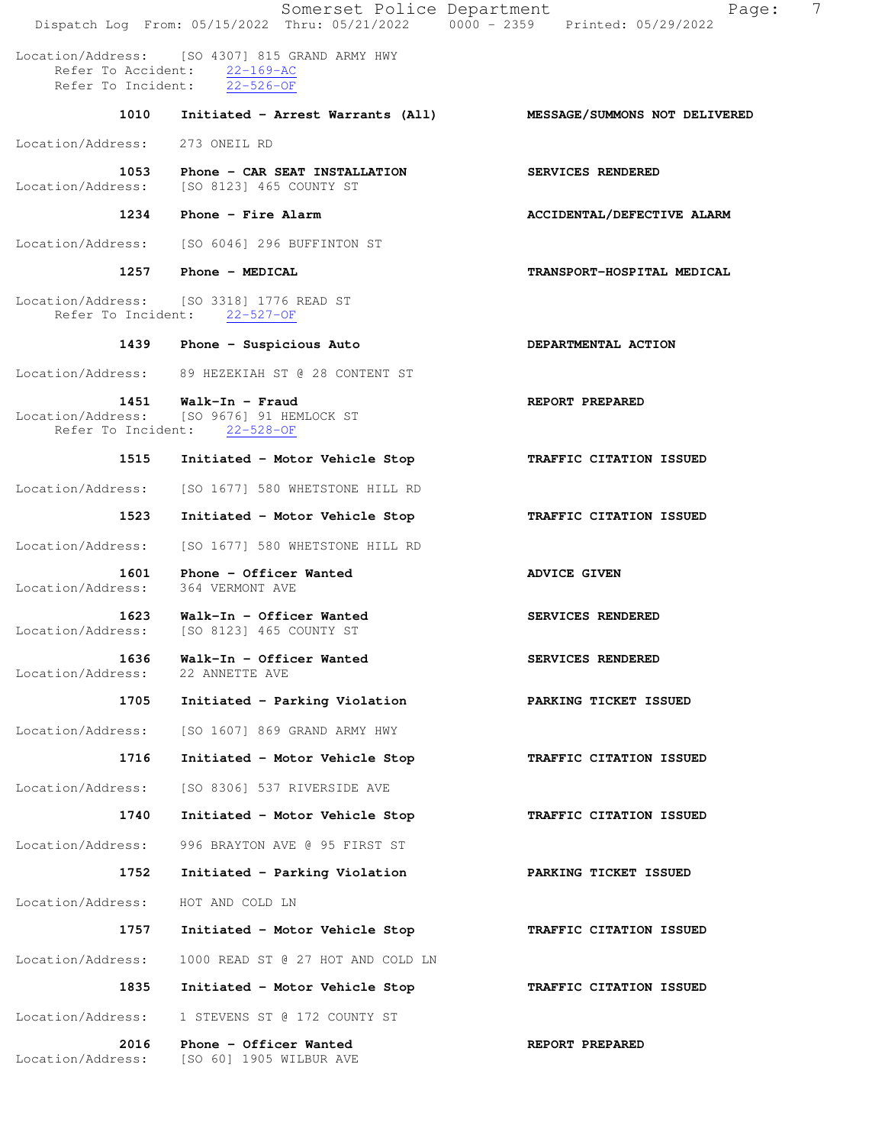Somerset Police Department Page: 7 Dispatch Log From: 05/15/2022 Thru: 05/21/2022 0000 - 2359 Printed: 05/29/2022 Location/Address: [SO 4307] 815 GRAND ARMY HWY Refer To Accident: 22-169-AC Refer To Incident: 22-526-OF  **1010 Initiated - Arrest Warrants (All) MESSAGE/SUMMONS NOT DELIVERED** Location/Address: 273 ONEIL RD  **1053 Phone - CAR SEAT INSTALLATION SERVICES RENDERED**  Location/Address: [SO 8123] 465 COUNTY ST 1234 Phone - Fire Alarm **ACCIDENTAL/DEFECTIVE ALARM** Location/Address: [SO 6046] 296 BUFFINTON ST  **1257 Phone - MEDICAL TRANSPORT-HOSPITAL MEDICAL**  Location/Address: [SO 3318] 1776 READ ST Refer To Incident: 22-527-OF 1439 Phone - Suspicious Auto **DEPARTMENTAL ACTION**  Location/Address: 89 HEZEKIAH ST @ 28 CONTENT ST  **1451 Walk-In - Fraud REPORT PREPARED**  Location/Address: [SO 9676] 91 HEMLOCK ST Refer To Incident: 22-528-OF  **1515 Initiated - Motor Vehicle Stop TRAFFIC CITATION ISSUED**  Location/Address: [SO 1677] 580 WHETSTONE HILL RD  **1523 Initiated - Motor Vehicle Stop TRAFFIC CITATION ISSUED**  Location/Address: [SO 1677] 580 WHETSTONE HILL RD 1601 Phone - Officer Wanted **ADVICE GIVEN**  Location/Address: 364 VERMONT AVE  **1623 Walk-In - Officer Wanted SERVICES RENDERED**  Location/Address: [SO 8123] 465 COUNTY ST **1636 Walk-In - Officer Wanted SERVICES RENDERED**<br>ess: 22 ANNETTE AVE Location/Address:  **1705 Initiated - Parking Violation PARKING TICKET ISSUED**  Location/Address: [SO 1607] 869 GRAND ARMY HWY  **1716 Initiated - Motor Vehicle Stop TRAFFIC CITATION ISSUED**  Location/Address: [SO 8306] 537 RIVERSIDE AVE  **1740 Initiated - Motor Vehicle Stop TRAFFIC CITATION ISSUED**  Location/Address: 996 BRAYTON AVE @ 95 FIRST ST  **1752 Initiated - Parking Violation PARKING TICKET ISSUED**  Location/Address: HOT AND COLD LN  **1757 Initiated - Motor Vehicle Stop TRAFFIC CITATION ISSUED**  Location/Address: 1000 READ ST @ 27 HOT AND COLD LN  **1835 Initiated - Motor Vehicle Stop TRAFFIC CITATION ISSUED**  Location/Address: 1 STEVENS ST @ 172 COUNTY ST  **2016 Phone - Officer Wanted REPORT PREPARED**  Location/Address: [SO 60] 1905 WILBUR AVE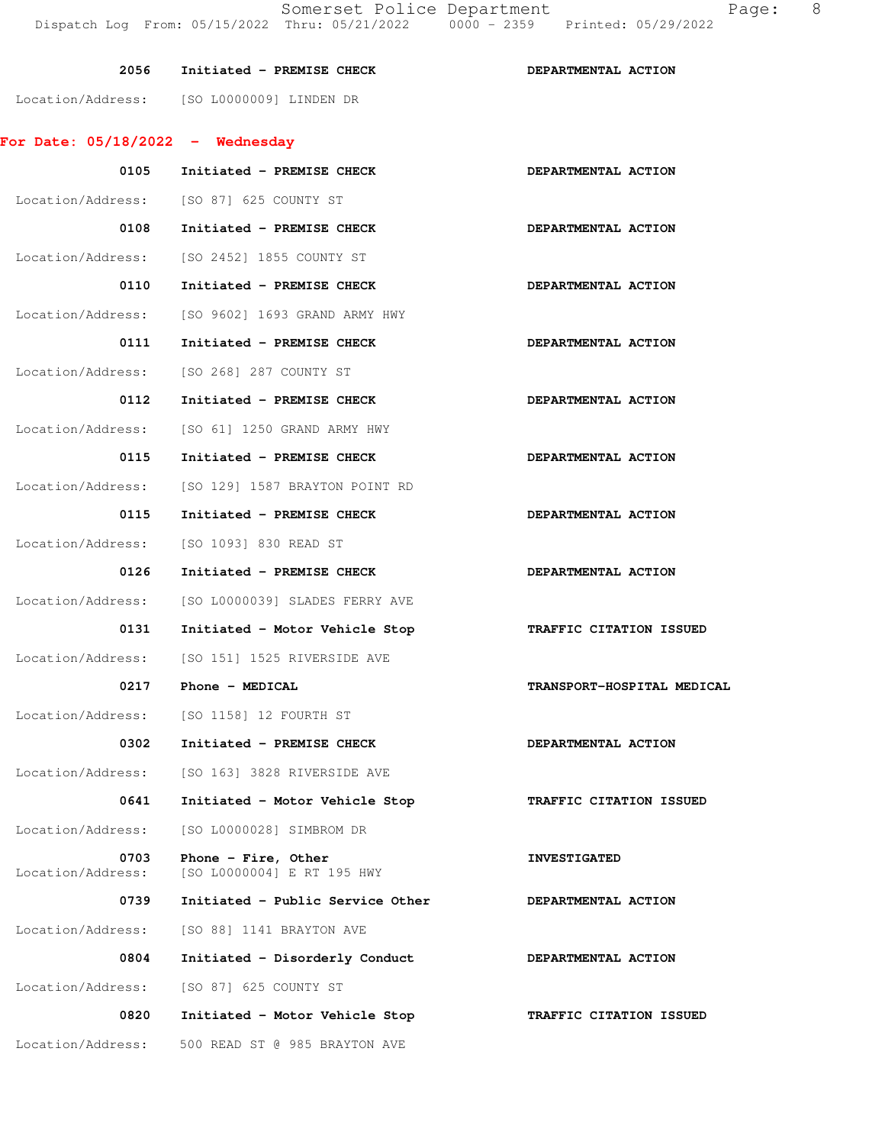|                                    |                                            | Dispatch Log From: 05/15/2022 Thru: 05/21/2022   0000 - 2359   Printed: 05/29/2022 |  |
|------------------------------------|--------------------------------------------|------------------------------------------------------------------------------------|--|
| 2056                               | Initiated - PREMISE CHECK                  | DEPARTMENTAL ACTION                                                                |  |
|                                    | Location/Address: [SO L0000009] LINDEN DR  |                                                                                    |  |
| For Date: $05/18/2022 -$ Wednesday |                                            |                                                                                    |  |
| 0105                               | Initiated - PREMISE CHECK                  | DEPARTMENTAL ACTION                                                                |  |
| Location/Address:                  | ISO 871 625 COUNTY ST                      |                                                                                    |  |
| 0108                               | Initiated - PREMISE CHECK                  | DEPARTMENTAL ACTION                                                                |  |
|                                    | Location/Address: [SO 2452] 1855 COUNTY ST |                                                                                    |  |
| 0110                               | Initiated - PREMISE CHECK                  | DEPARTMENTAL ACTION                                                                |  |
| Location/Address:                  | [SO 9602] 1693 GRAND ARMY HWY              |                                                                                    |  |
| 0111                               | Initiated - PREMISE CHECK                  | DEPARTMENTAL ACTION                                                                |  |
| Location/Address:                  | [SO 268] 287 COUNTY ST                     |                                                                                    |  |
| 0112                               | Initiated - PREMISE CHECK                  | DEPARTMENTAL ACTION                                                                |  |

 **0131 Initiated - Motor Vehicle Stop TRAFFIC CITATION ISSUED** 

- Location/Address: [SO 61] 1250 GRAND ARMY HWY 0115 Initiated - PREMISE CHECK **DEPARTMENTAL ACTION**
- Location/Address: [SO 129] 1587 BRAYTON POINT RD
- 0115 Initiated PREMISE CHECK **DEPARTMENTAL ACTION** Location/Address: [SO 1093] 830 READ ST
- 0126 Initiated PREMISE CHECK **DEPARTMENTAL ACTION** Location/Address: [SO L0000039] SLADES FERRY AVE
- Location/Address: [SO 151] 1525 RIVERSIDE AVE  **0217 Phone - MEDICAL TRANSPORT-HOSPITAL MEDICAL**
- Location/Address: [SO 1158] 12 FOURTH ST

- Location/Address: [SO 163] 3828 RIVERSIDE AVE
- **0641 Initiated Motor Vehicle Stop TRAFFIC CITATION ISSUED**  Location/Address: [SO L0000028] SIMBROM DR
- 0703 Phone Fire, Other **INVESTIGATED** Location/Address: [SO L0000004] E RT 195 HWY
- 0739 Initiated Public Service Other **DEPARTMENTAL ACTION** Location/Address: [SO 88] 1141 BRAYTON AVE  **0804 Initiated - Disorderly Conduct DEPARTMENTAL ACTION**
- Location/Address: [SO 87] 625 COUNTY ST
- **0820 Initiated Motor Vehicle Stop TRAFFIC CITATION ISSUED**  Location/Address: 500 READ ST @ 985 BRAYTON AVE
- 
- 
- 0302 Initiated PREMISE CHECK **DEPARTMENTAL ACTION** 
	-
	-
	-
	- -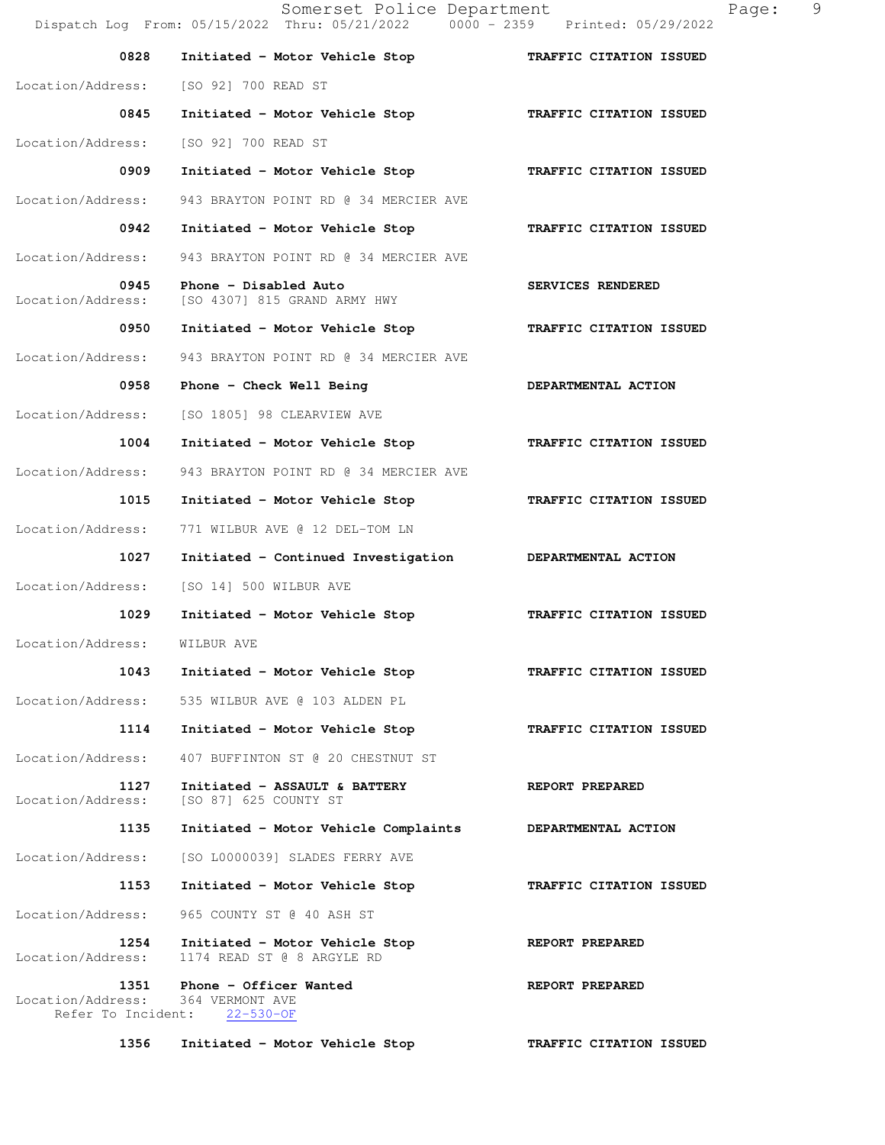Somerset Police Department Page: 9 Dispatch Log From: 05/15/2022 Thru: 05/21/2022 0000 - 2359 Printed: 05/29/2022  **0828 Initiated - Motor Vehicle Stop TRAFFIC CITATION ISSUED**  Location/Address: [SO 92] 700 READ ST  **0845 Initiated - Motor Vehicle Stop TRAFFIC CITATION ISSUED**  Location/Address: [SO 92] 700 READ ST  **0909 Initiated - Motor Vehicle Stop TRAFFIC CITATION ISSUED**  Location/Address: 943 BRAYTON POINT RD @ 34 MERCIER AVE  **0942 Initiated - Motor Vehicle Stop TRAFFIC CITATION ISSUED**  Location/Address: 943 BRAYTON POINT RD @ 34 MERCIER AVE 0945 Phone - Disabled Auto **SERVICES RENDERED** Location/Address: [SO 4307] 815 GRAND ARMY HWY  **0950 Initiated - Motor Vehicle Stop TRAFFIC CITATION ISSUED**  Location/Address: 943 BRAYTON POINT RD @ 34 MERCIER AVE 0958 Phone - Check Well Being **DEPARTMENTAL ACTION**  Location/Address: [SO 1805] 98 CLEARVIEW AVE  **1004 Initiated - Motor Vehicle Stop TRAFFIC CITATION ISSUED**  Location/Address: 943 BRAYTON POINT RD @ 34 MERCIER AVE  **1015 Initiated - Motor Vehicle Stop TRAFFIC CITATION ISSUED**  Location/Address: 771 WILBUR AVE @ 12 DEL-TOM LN  **1027 Initiated - Continued Investigation DEPARTMENTAL ACTION**  Location/Address: [SO 14] 500 WILBUR AVE  **1029 Initiated - Motor Vehicle Stop TRAFFIC CITATION ISSUED**  Location/Address: WILBUR AVE  **1043 Initiated - Motor Vehicle Stop TRAFFIC CITATION ISSUED**  Location/Address: 535 WILBUR AVE @ 103 ALDEN PL  **1114 Initiated - Motor Vehicle Stop TRAFFIC CITATION ISSUED**  Location/Address: 407 BUFFINTON ST @ 20 CHESTNUT ST 1127 Initiated - ASSAULT & BATTERY **REPORT PREPARED** Location/Address: [SO 87] 625 COUNTY ST  **1135 Initiated - Motor Vehicle Complaints DEPARTMENTAL ACTION**  Location/Address: [SO L0000039] SLADES FERRY AVE  **1153 Initiated - Motor Vehicle Stop TRAFFIC CITATION ISSUED**  Location/Address: 965 COUNTY ST @ 40 ASH ST 1254 Initiated - Motor Vehicle Stop **REPORT PREPARED**  Location/Address: 1174 READ ST @ 8 ARGYLE RD **1351 Phone - Officer Wanted REPORT PREPARED**<br>ess: 364 VERMONT AVE Location/Address: Refer To Incident: 22-530-OF  **1356 Initiated - Motor Vehicle Stop TRAFFIC CITATION ISSUED**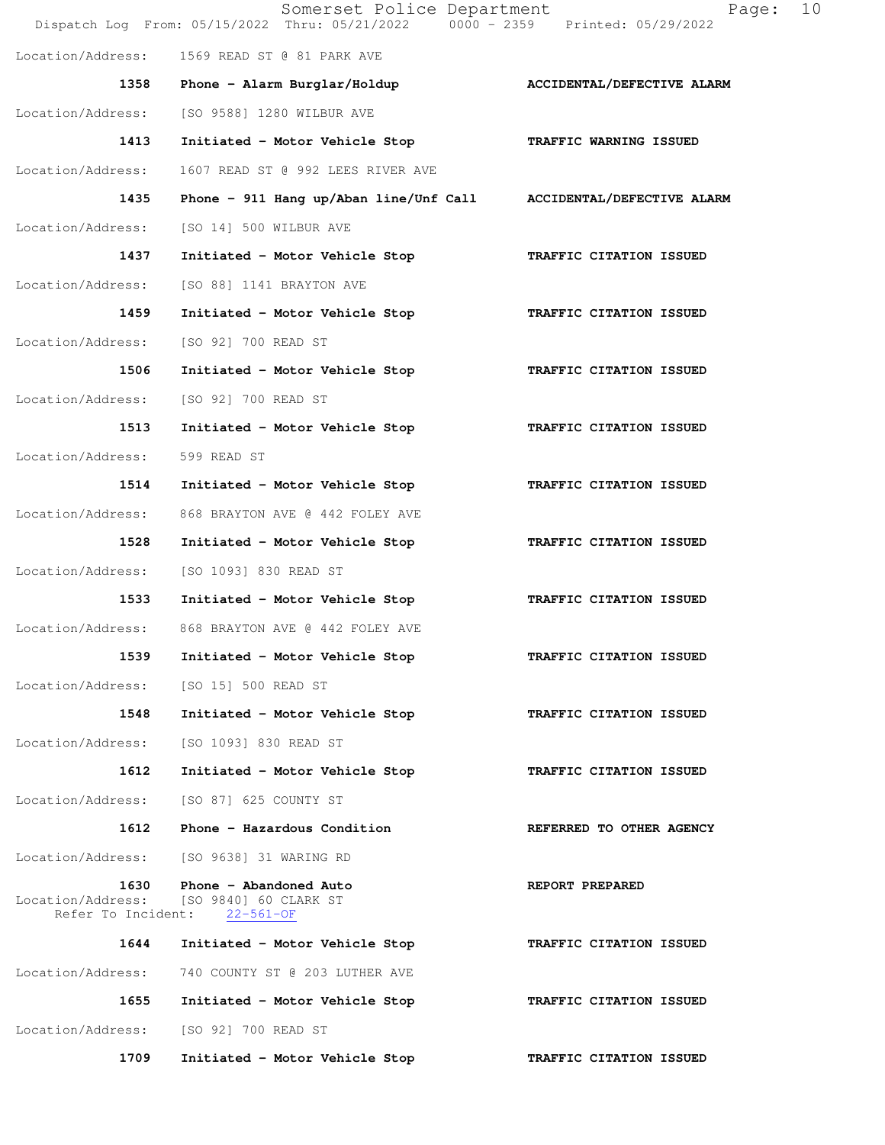|                           | Somerset Police Department<br>Dispatch Log From: 05/15/2022 Thru: 05/21/2022 0000 - 2359 Printed: 05/29/2022 | 10<br>Page:                |
|---------------------------|--------------------------------------------------------------------------------------------------------------|----------------------------|
| Location/Address:         | 1569 READ ST @ 81 PARK AVE                                                                                   |                            |
| 1358                      | Phone - Alarm Burglar/Holdup                                                                                 | ACCIDENTAL/DEFECTIVE ALARM |
| Location/Address:         | [SO 9588] 1280 WILBUR AVE                                                                                    |                            |
| 1413                      | Initiated - Motor Vehicle Stop                                                                               | TRAFFIC WARNING ISSUED     |
| Location/Address:         | 1607 READ ST @ 992 LEES RIVER AVE                                                                            |                            |
| 1435                      | Phone - 911 Hang up/Aban line/Unf Call ACCIDENTAL/DEFECTIVE ALARM                                            |                            |
| Location/Address:         | [SO 14] 500 WILBUR AVE                                                                                       |                            |
| 1437                      | Initiated - Motor Vehicle Stop                                                                               | TRAFFIC CITATION ISSUED    |
| Location/Address:         | [SO 88] 1141 BRAYTON AVE                                                                                     |                            |
| 1459                      | Initiated - Motor Vehicle Stop                                                                               | TRAFFIC CITATION ISSUED    |
| Location/Address:         | [SO 92] 700 READ ST                                                                                          |                            |
| 1506                      | Initiated - Motor Vehicle Stop                                                                               | TRAFFIC CITATION ISSUED    |
| Location/Address:         | [SO 92] 700 READ ST                                                                                          |                            |
| 1513                      | Initiated - Motor Vehicle Stop                                                                               | TRAFFIC CITATION ISSUED    |
| Location/Address:         | 599 READ ST                                                                                                  |                            |
| 1514                      | Initiated - Motor Vehicle Stop                                                                               | TRAFFIC CITATION ISSUED    |
| Location/Address:         | 868 BRAYTON AVE @ 442 FOLEY AVE                                                                              |                            |
| 1528                      | Initiated - Motor Vehicle Stop                                                                               | TRAFFIC CITATION ISSUED    |
| Location/Address:         | [SO 1093] 830 READ ST                                                                                        |                            |
| 1533                      | Initiated - Motor Vehicle Stop                                                                               | TRAFFIC CITATION ISSUED    |
| Location/Address:         | 868 BRAYTON AVE @ 442 FOLEY AVE                                                                              |                            |
| 1539                      | Initiated - Motor Vehicle Stop                                                                               | TRAFFIC CITATION ISSUED    |
| Location/Address:         | [SO 15] 500 READ ST                                                                                          |                            |
| 1548                      | Initiated - Motor Vehicle Stop                                                                               | TRAFFIC CITATION ISSUED    |
| Location/Address:         | [SO 1093] 830 READ ST                                                                                        |                            |
| 1612                      | Initiated - Motor Vehicle Stop                                                                               | TRAFFIC CITATION ISSUED    |
| Location/Address:         | [SO 87] 625 COUNTY ST                                                                                        |                            |
| 1612                      | Phone - Hazardous Condition                                                                                  | REFERRED TO OTHER AGENCY   |
| Location/Address:         | [SO 9638] 31 WARING RD                                                                                       |                            |
| 1630<br>Location/Address: | Phone - Abandoned Auto<br>[SO 9840] 60 CLARK ST<br>Refer To Incident: 22-561-OF                              | REPORT PREPARED            |
| 1644                      | Initiated - Motor Vehicle Stop                                                                               | TRAFFIC CITATION ISSUED    |
| Location/Address:         | 740 COUNTY ST @ 203 LUTHER AVE                                                                               |                            |
| 1655                      | Initiated - Motor Vehicle Stop                                                                               | TRAFFIC CITATION ISSUED    |
| Location/Address:         | [SO 92] 700 READ ST                                                                                          |                            |
| 1709                      | Initiated - Motor Vehicle Stop                                                                               | TRAFFIC CITATION ISSUED    |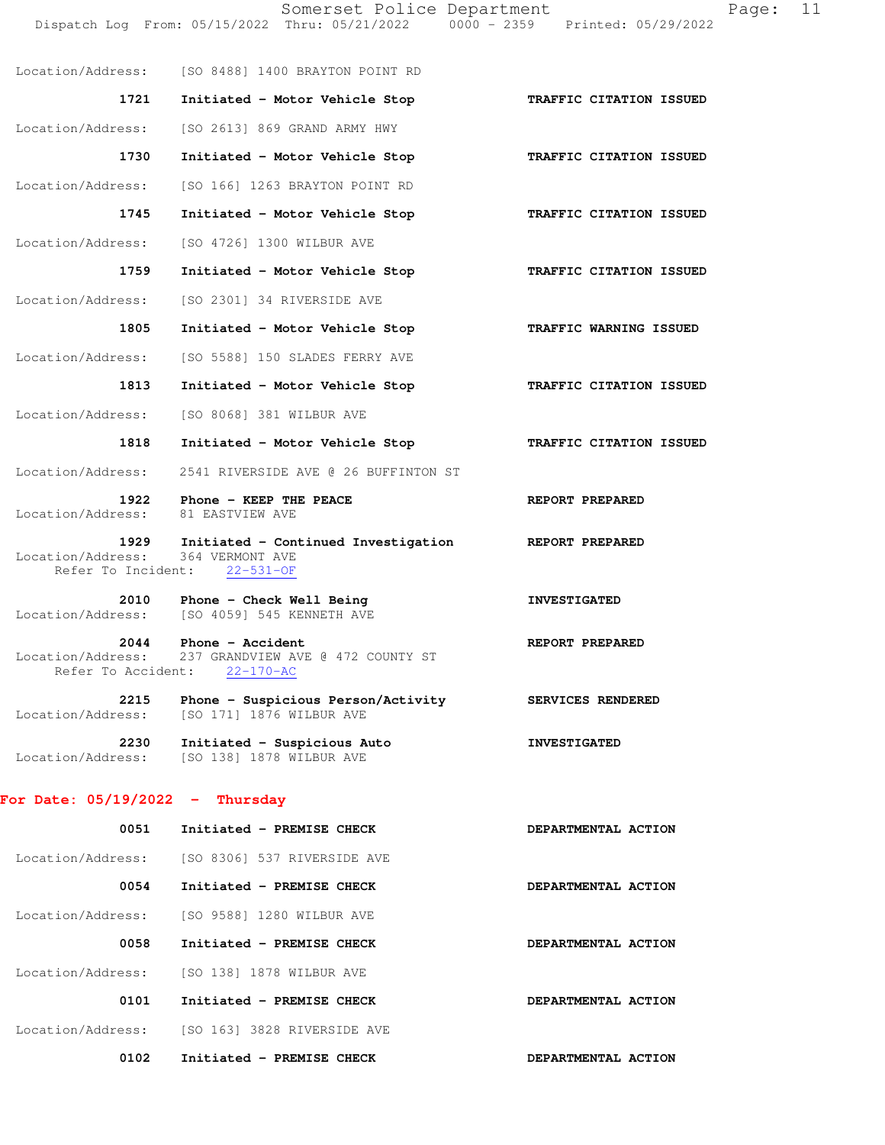|                                                 | Dispatch Log From: 05/15/2022 Thru: 05/21/2022                                         | 0000 - 2359 Printed: 05/29/2022 |
|-------------------------------------------------|----------------------------------------------------------------------------------------|---------------------------------|
|                                                 | Location/Address: [SO 8488] 1400 BRAYTON POINT RD                                      |                                 |
| 1721                                            | Initiated - Motor Vehicle Stop                                                         | TRAFFIC CITATION ISSUED         |
| Location/Address:                               | [SO 2613] 869 GRAND ARMY HWY                                                           |                                 |
| 1730                                            | Initiated - Motor Vehicle Stop                                                         | TRAFFIC CITATION ISSUED         |
| Location/Address:                               | [SO 166] 1263 BRAYTON POINT RD                                                         |                                 |
| 1745                                            | Initiated - Motor Vehicle Stop                                                         | TRAFFIC CITATION ISSUED         |
| Location/Address:                               | [SO 4726] 1300 WILBUR AVE                                                              |                                 |
| 1759                                            | Initiated - Motor Vehicle Stop                                                         | TRAFFIC CITATION ISSUED         |
| Location/Address:                               | [SO 2301] 34 RIVERSIDE AVE                                                             |                                 |
| 1805                                            | Initiated - Motor Vehicle Stop                                                         | TRAFFIC WARNING ISSUED          |
| Location/Address:                               | [SO 5588] 150 SLADES FERRY AVE                                                         |                                 |
| 1813                                            | Initiated - Motor Vehicle Stop                                                         | TRAFFIC CITATION ISSUED         |
| Location/Address:                               | [SO 8068] 381 WILBUR AVE                                                               |                                 |
| 1818                                            | Initiated - Motor Vehicle Stop                                                         | TRAFFIC CITATION ISSUED         |
| Location/Address:                               | 2541 RIVERSIDE AVE @ 26 BUFFINTON ST                                                   |                                 |
| 1922<br>Location/Address:                       | Phone - KEEP THE PEACE<br>81 EASTVIEW AVE                                              | REPORT PREPARED                 |
| 1929<br>Location/Address:                       | Initiated - Continued Investigation<br>364 VERMONT AVE<br>Refer To Incident: 22-531-OF | REPORT PREPARED                 |
| 2010<br>Location/Address:                       | Phone - Check Well Being<br>[SO 4059] 545 KENNETH AVE                                  | <b>INVESTIGATED</b>             |
| 2044<br>Location/Address:<br>Refer To Accident: | Phone - Accident<br>237 GRANDVIEW AVE @ 472 COUNTY ST<br>$22 - 170 - AC$               | REPORT PREPARED                 |
| 2215<br>Location/Address:                       | Phone - Suspicious Person/Activity<br>[SO 171] 1876 WILBUR AVE                         | SERVICES RENDERED               |
| 2230<br>Location/Address:                       | Initiated - Suspicious Auto<br>[SO 138] 1878 WILBUR AVE                                | <b>INVESTIGATED</b>             |
| For Date: $05/19/2022 - Thursday$               |                                                                                        |                                 |
| 0051                                            | Initiated - PREMISE CHECK                                                              | DEPARTMENTAL ACTION             |
| Location/Address:                               | [SO 8306] 537 RIVERSIDE AVE                                                            |                                 |
| 0054                                            | Initiated - PREMISE CHECK                                                              | DEPARTMENTAL ACTION             |
| Location/Address:                               | [SO 9588] 1280 WILBUR AVE                                                              |                                 |
| 0058                                            | Initiated - PREMISE CHECK                                                              | DEPARTMENTAL ACTION             |

 Location/Address: [SO 138] 1878 WILBUR AVE 0101 Initiated - PREMISE CHECK **DEPARTMENTAL ACTION** Location/Address: [SO 163] 3828 RIVERSIDE AVE

Somerset Police Department Page: 11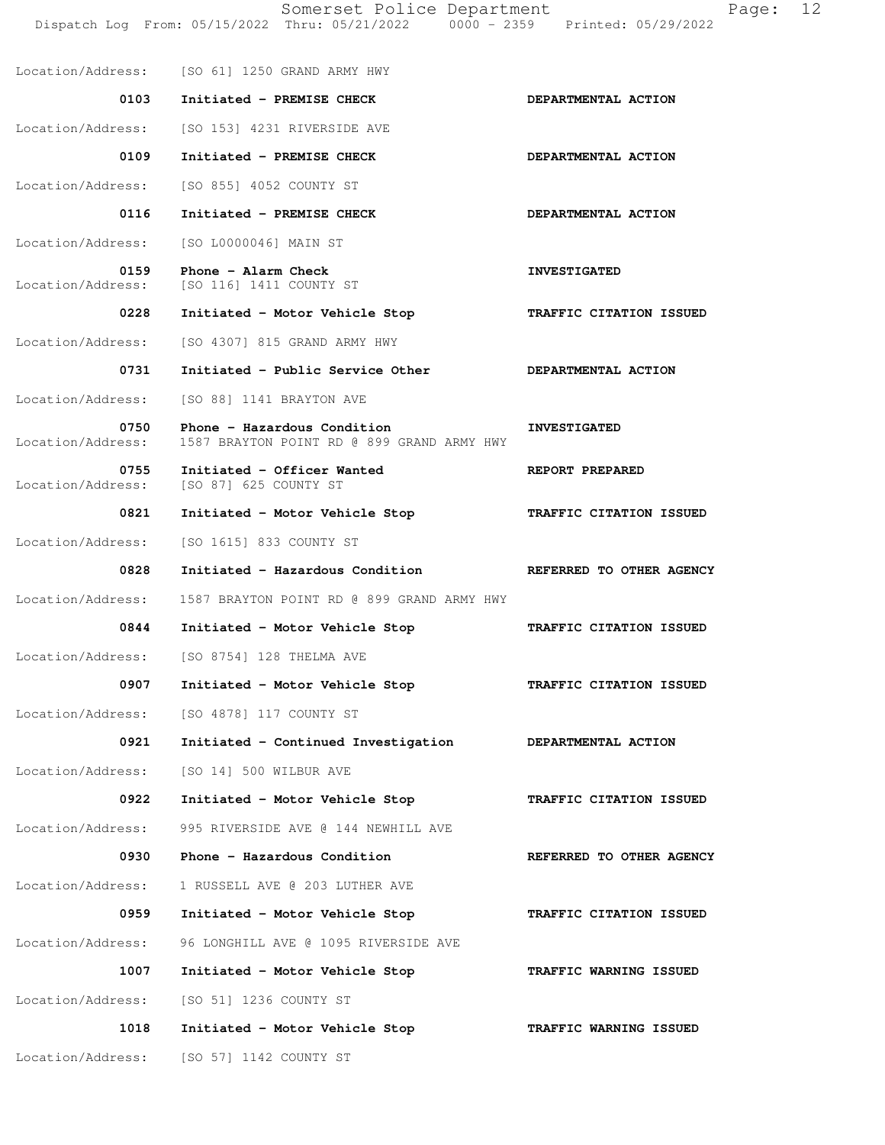|                           | Somerset Police Department<br>Dispatch Log From: 05/15/2022 Thru: 05/21/2022 0000 - 2359 Printed: 05/29/2022 | 12<br>Page:              |
|---------------------------|--------------------------------------------------------------------------------------------------------------|--------------------------|
|                           | Location/Address: [SO 61] 1250 GRAND ARMY HWY                                                                |                          |
| 0103                      | Initiated - PREMISE CHECK                                                                                    | DEPARTMENTAL ACTION      |
| Location/Address:         | [SO 153] 4231 RIVERSIDE AVE                                                                                  |                          |
| 0109                      | Initiated - PREMISE CHECK                                                                                    | DEPARTMENTAL ACTION      |
| Location/Address:         | [SO 855] 4052 COUNTY ST                                                                                      |                          |
| 0116                      | Initiated - PREMISE CHECK                                                                                    | DEPARTMENTAL ACTION      |
| Location/Address:         | [SO L0000046] MAIN ST                                                                                        |                          |
| 0159<br>Location/Address: | Phone - Alarm Check<br>[SO 116] 1411 COUNTY ST                                                               | <b>INVESTIGATED</b>      |
| 0228                      | Initiated - Motor Vehicle Stop                                                                               | TRAFFIC CITATION ISSUED  |
| Location/Address:         | [SO 4307] 815 GRAND ARMY HWY                                                                                 |                          |
| 0731                      | Initiated - Public Service Other                                                                             | DEPARTMENTAL ACTION      |
| Location/Address:         | [SO 88] 1141 BRAYTON AVE                                                                                     |                          |
| 0750<br>Location/Address: | Phone - Hazardous Condition<br>1587 BRAYTON POINT RD @ 899 GRAND ARMY HWY                                    | <b>INVESTIGATED</b>      |
| 0755<br>Location/Address: | Initiated - Officer Wanted<br>[SO 87] 625 COUNTY ST                                                          | REPORT PREPARED          |
| 0821                      | Initiated - Motor Vehicle Stop                                                                               | TRAFFIC CITATION ISSUED  |
| Location/Address:         | [SO 1615] 833 COUNTY ST                                                                                      |                          |
| 0828                      | Initiated - Hazardous Condition NEFERRED TO OTHER AGENCY                                                     |                          |
| Location/Address:         | 1587 BRAYTON POINT RD @ 899 GRAND ARMY HWY                                                                   |                          |
| 0844                      | Initiated - Motor Vehicle Stop                                                                               | TRAFFIC CITATION ISSUED  |
| Location/Address:         | [SO 8754] 128 THELMA AVE                                                                                     |                          |
| 0907                      | Initiated - Motor Vehicle Stop                                                                               | TRAFFIC CITATION ISSUED  |
| Location/Address:         | [SO 4878] 117 COUNTY ST                                                                                      |                          |
| 0921                      | Initiated - Continued Investigation                                                                          | DEPARTMENTAL ACTION      |
| Location/Address:         | [SO 14] 500 WILBUR AVE                                                                                       |                          |
| 0922                      | Initiated - Motor Vehicle Stop                                                                               | TRAFFIC CITATION ISSUED  |
| Location/Address:         | 995 RIVERSIDE AVE @ 144 NEWHILL AVE                                                                          |                          |
| 0930                      | Phone - Hazardous Condition                                                                                  | REFERRED TO OTHER AGENCY |
| Location/Address:         | 1 RUSSELL AVE @ 203 LUTHER AVE                                                                               |                          |
| 0959                      | Initiated - Motor Vehicle Stop                                                                               | TRAFFIC CITATION ISSUED  |
| Location/Address:         | 96 LONGHILL AVE @ 1095 RIVERSIDE AVE                                                                         |                          |
| 1007                      | Initiated - Motor Vehicle Stop                                                                               | TRAFFIC WARNING ISSUED   |
| Location/Address:         | [SO 51] 1236 COUNTY ST                                                                                       |                          |
| 1018                      | Initiated - Motor Vehicle Stop                                                                               | TRAFFIC WARNING ISSUED   |
| Location/Address:         | [SO 57] 1142 COUNTY ST                                                                                       |                          |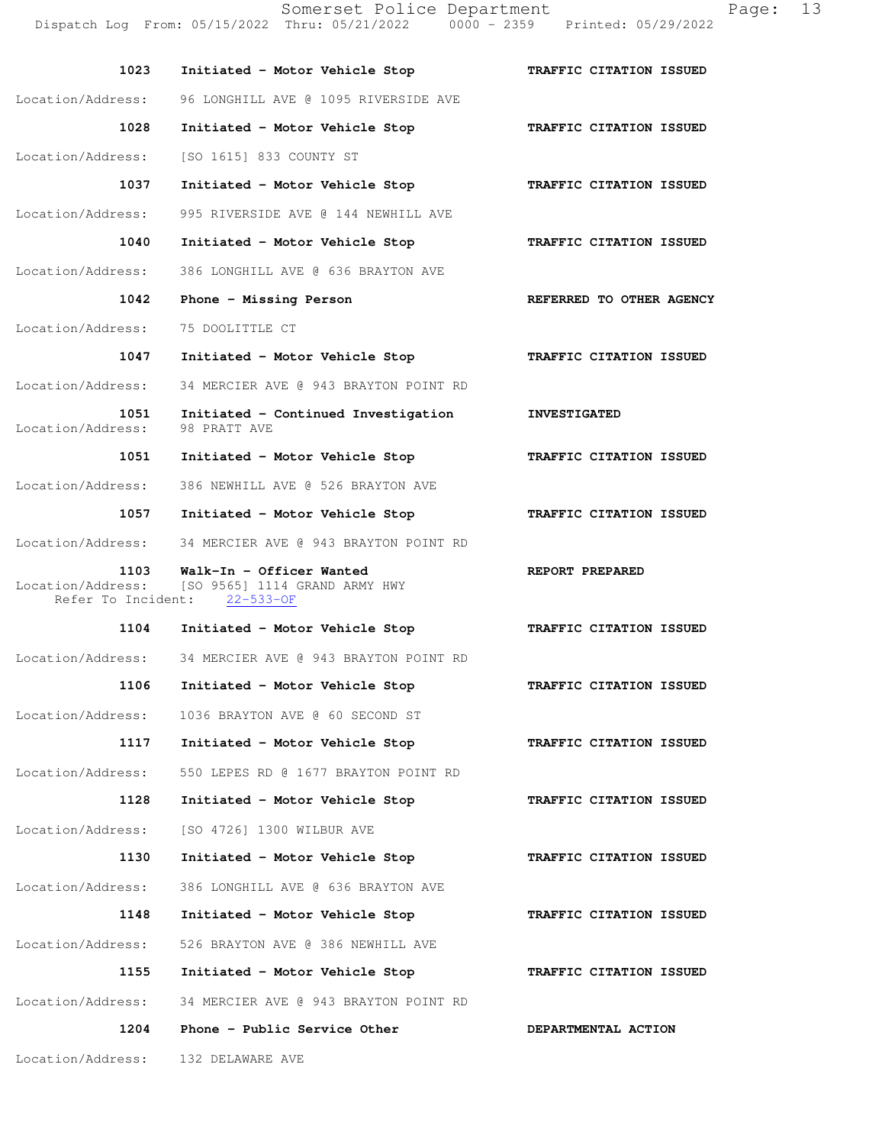Somerset Police Department Page: 13 Dispatch Log From: 05/15/2022 Thru: 05/21/2022 0000 - 2359 Printed: 05/29/2022

| 1023              | Initiated - Motor Vehicle Stop       | TRAFFIC CITATION ISSUED |
|-------------------|--------------------------------------|-------------------------|
| Location/Address: | 96 LONGHILL AVE @ 1095 RIVERSIDE AVE |                         |
| 1028              | Initiated - Motor Vehicle Stop       | TRAFFIC CITATION ISSUED |
| Location/Address: | ISO 16151 833 COUNTY ST              |                         |
| 1037              | Initiated - Motor Vehicle Stop       | TRAFFIC CITATION ISSUED |
| Location/Address: | 995 RIVERSIDE AVE @ 144 NEWHILL AVE  |                         |
| 1040              | Initiated - Motor Vehicle Stop       | TRAFFIC CITATION ISSUED |

 **1042 Phone - Missing Person REFERRED TO OTHER AGENCY** 

Location/Address: 75 DOOLITTLE CT

Location/Address: 386 LONGHILL AVE @ 636 BRAYTON AVE

- **1047 Initiated Motor Vehicle Stop TRAFFIC CITATION ISSUED**  Location/Address: 34 MERCIER AVE @ 943 BRAYTON POINT RD
- **1051 Initiated Continued Investigation INVESTIGATED**<br> **1051 INVESTIGATED 98 PRATT AVE** Location/Address:
- **1051 Initiated Motor Vehicle Stop TRAFFIC CITATION ISSUED**  Location/Address: 386 NEWHILL AVE @ 526 BRAYTON AVE
	- **1057 Initiated Motor Vehicle Stop TRAFFIC CITATION ISSUED**
- Location/Address: 34 MERCIER AVE @ 943 BRAYTON POINT RD
- **1103 Walk-In Officer Wanted REPORT PREPARED**  Location/Address: [SO 9565] 1114 GRAND ARMY HWY<br>Refer To Incident: 22-533-OF Refer To Incident:

 **1104 Initiated - Motor Vehicle Stop TRAFFIC CITATION ISSUED**  Location/Address: 34 MERCIER AVE @ 943 BRAYTON POINT RD  **1106 Initiated - Motor Vehicle Stop TRAFFIC CITATION ISSUED**  Location/Address: 1036 BRAYTON AVE @ 60 SECOND ST  **1117 Initiated - Motor Vehicle Stop TRAFFIC CITATION ISSUED**  Location/Address: 550 LEPES RD @ 1677 BRAYTON POINT RD  **1128 Initiated - Motor Vehicle Stop TRAFFIC CITATION ISSUED**  Location/Address: [SO 4726] 1300 WILBUR AVE

- **1130 Initiated Motor Vehicle Stop TRAFFIC CITATION ISSUED**  Location/Address: 386 LONGHILL AVE @ 636 BRAYTON AVE  **1148 Initiated - Motor Vehicle Stop TRAFFIC CITATION ISSUED**  Location/Address: 526 BRAYTON AVE @ 386 NEWHILL AVE  **1155 Initiated - Motor Vehicle Stop TRAFFIC CITATION ISSUED**
- Location/Address: 34 MERCIER AVE @ 943 BRAYTON POINT RD 1204 Phone - Public Service Other **DEPARTMENTAL ACTION**

Location/Address: 132 DELAWARE AVE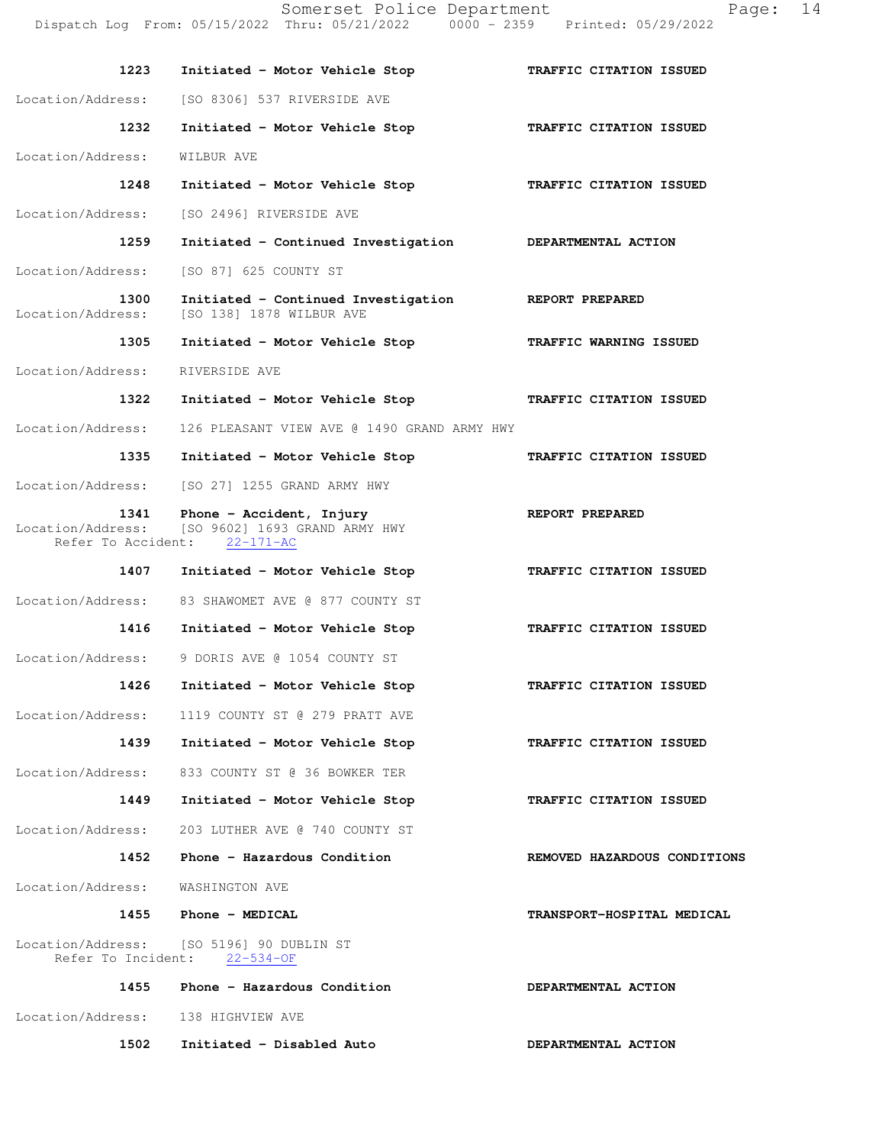Dispatch Log From: 05/15/2022 Thru: 05/21/2022 0000 - 2359 Printed: 05/29/2022  **1223 Initiated - Motor Vehicle Stop TRAFFIC CITATION ISSUED**  Location/Address: [SO 8306] 537 RIVERSIDE AVE  **1232 Initiated - Motor Vehicle Stop TRAFFIC CITATION ISSUED**  Location/Address: WILBUR AVE  **1248 Initiated - Motor Vehicle Stop TRAFFIC CITATION ISSUED**  Location/Address: [SO 2496] RIVERSIDE AVE  **1259 Initiated - Continued Investigation DEPARTMENTAL ACTION**  Location/Address: [SO 87] 625 COUNTY ST  **1300 Initiated - Continued Investigation REPORT PREPARED**  Location/Address: [SO 138] 1878 WILBUR AVE  **1305 Initiated - Motor Vehicle Stop TRAFFIC WARNING ISSUED**  Location/Address: RIVERSIDE AVE  **1322 Initiated - Motor Vehicle Stop TRAFFIC CITATION ISSUED**  Location/Address: 126 PLEASANT VIEW AVE @ 1490 GRAND ARMY HWY  **1335 Initiated - Motor Vehicle Stop TRAFFIC CITATION ISSUED**  Location/Address: [SO 27] 1255 GRAND ARMY HWY 1341 Phone - Accident, Injury **REPORT PREPARED** Location/Address: [SO 9602] 1693 GRAND ARMY HWY<br>Refer To Accident: 22-171-AC Refer To Accident:  **1407 Initiated - Motor Vehicle Stop TRAFFIC CITATION ISSUED**  Location/Address: 83 SHAWOMET AVE @ 877 COUNTY ST  **1416 Initiated - Motor Vehicle Stop TRAFFIC CITATION ISSUED**  Location/Address: 9 DORIS AVE @ 1054 COUNTY ST  **1426 Initiated - Motor Vehicle Stop TRAFFIC CITATION ISSUED**  Location/Address: 1119 COUNTY ST @ 279 PRATT AVE  **1439 Initiated - Motor Vehicle Stop TRAFFIC CITATION ISSUED**  Location/Address: 833 COUNTY ST @ 36 BOWKER TER  **1449 Initiated - Motor Vehicle Stop TRAFFIC CITATION ISSUED**  Location/Address: 203 LUTHER AVE @ 740 COUNTY ST 1452 Phone - Hazardous Condition **REMOVED HAZARDOUS CONDITIONS**  Location/Address: WASHINGTON AVE  **1455 Phone - MEDICAL TRANSPORT-HOSPITAL MEDICAL**  Location/Address: [SO 5196] 90 DUBLIN ST<br>Refer To Incident: 22-534-OF Refer To Incident:  **1455 Phone - Hazardous Condition DEPARTMENTAL ACTION**  Location/Address: 138 HIGHVIEW AVE  **1502 Initiated - Disabled Auto DEPARTMENTAL ACTION** 

Somerset Police Department Page: 14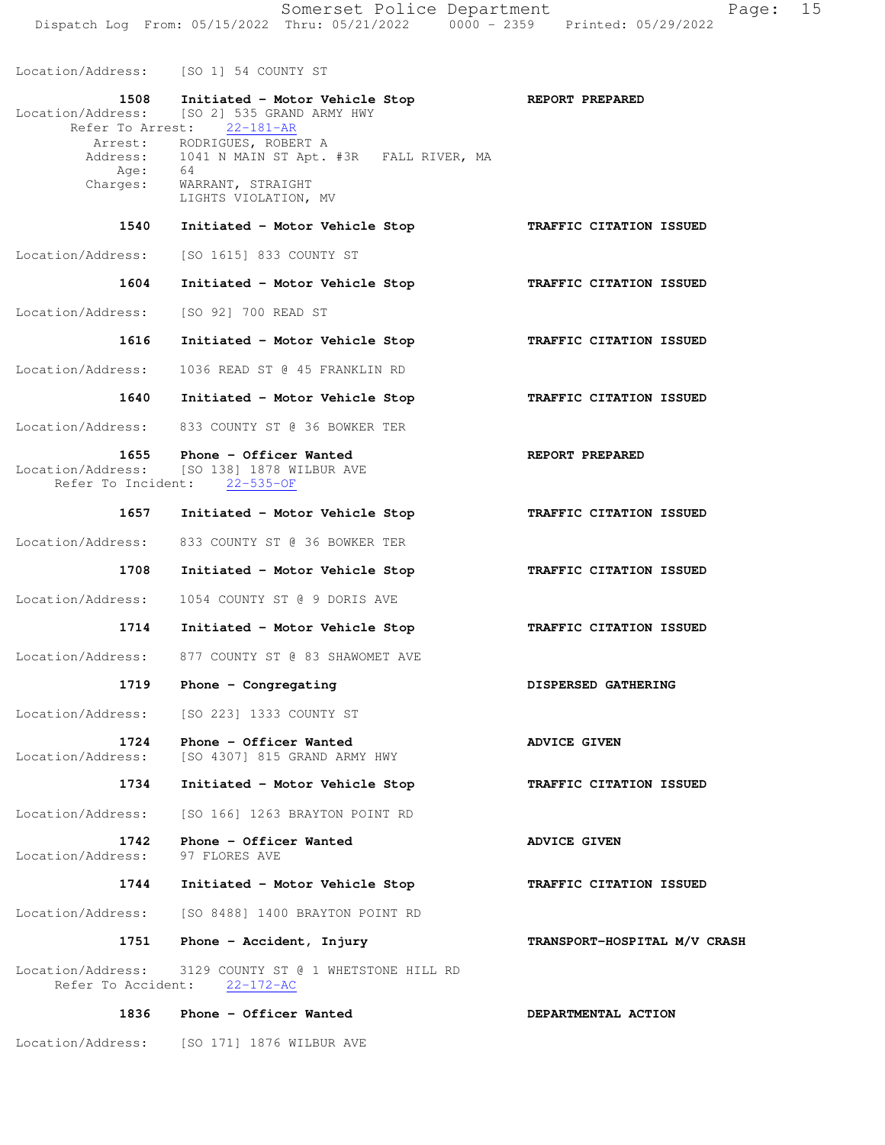Location/Address: [SO 1] 54 COUNTY ST 1508 Initiated - Motor Vehicle Stop **REPORT PREPARED**  Location/Address: [SO 2] 535 GRAND ARMY HWY Refer To Arrest: 22-181-AR Arrest: RODRIGUES, ROBERT A Address: 1041 N MAIN ST Apt. #3R FALL RIVER, MA Age: 64 Charges: WARRANT, STRAIGHT LIGHTS VIOLATION, MV  **1540 Initiated - Motor Vehicle Stop TRAFFIC CITATION ISSUED**  Location/Address: [SO 1615] 833 COUNTY ST  **1604 Initiated - Motor Vehicle Stop TRAFFIC CITATION ISSUED**  Location/Address: [SO 92] 700 READ ST  **1616 Initiated - Motor Vehicle Stop TRAFFIC CITATION ISSUED**  Location/Address: 1036 READ ST @ 45 FRANKLIN RD  **1640 Initiated - Motor Vehicle Stop TRAFFIC CITATION ISSUED**  Location/Address: 833 COUNTY ST @ 36 BOWKER TER 1655 Phone - Officer Wanted **REPORT PREPARED** Location/Address: [SO 138] 1878 WILBUR AVE Refer To Incident: 22-535-OF  **1657 Initiated - Motor Vehicle Stop TRAFFIC CITATION ISSUED**  Location/Address: 833 COUNTY ST @ 36 BOWKER TER  **1708 Initiated - Motor Vehicle Stop TRAFFIC CITATION ISSUED**  Location/Address: 1054 COUNTY ST @ 9 DORIS AVE  **1714 Initiated - Motor Vehicle Stop TRAFFIC CITATION ISSUED**  Location/Address: 877 COUNTY ST @ 83 SHAWOMET AVE 1719 Phone - Congregating **DISPERSED GATHERING** Location/Address: [SO 223] 1333 COUNTY ST 1724 Phone - Officer Wanted **ADVICE GIVEN**  Location/Address: [SO 4307] 815 GRAND ARMY HWY  **1734 Initiated - Motor Vehicle Stop TRAFFIC CITATION ISSUED**  Location/Address: [SO 166] 1263 BRAYTON POINT RD **1742 Phone - Officer Wanted ADVICE GIVEN**<br>ess: 97 FLORES AVE Location/Address:  **1744 Initiated - Motor Vehicle Stop TRAFFIC CITATION ISSUED**  Location/Address: [SO 8488] 1400 BRAYTON POINT RD  **1751 Phone - Accident, Injury TRANSPORT-HOSPITAL M/V CRASH** Location/Address: 3129 COUNTY ST @ 1 WHETSTONE HILL RD<br>Refer To Accident: 22-172-AC Refer To Accident: 1836 Phone - Officer Wanted **DEPARTMENTAL ACTION** 

Location/Address: [SO 171] 1876 WILBUR AVE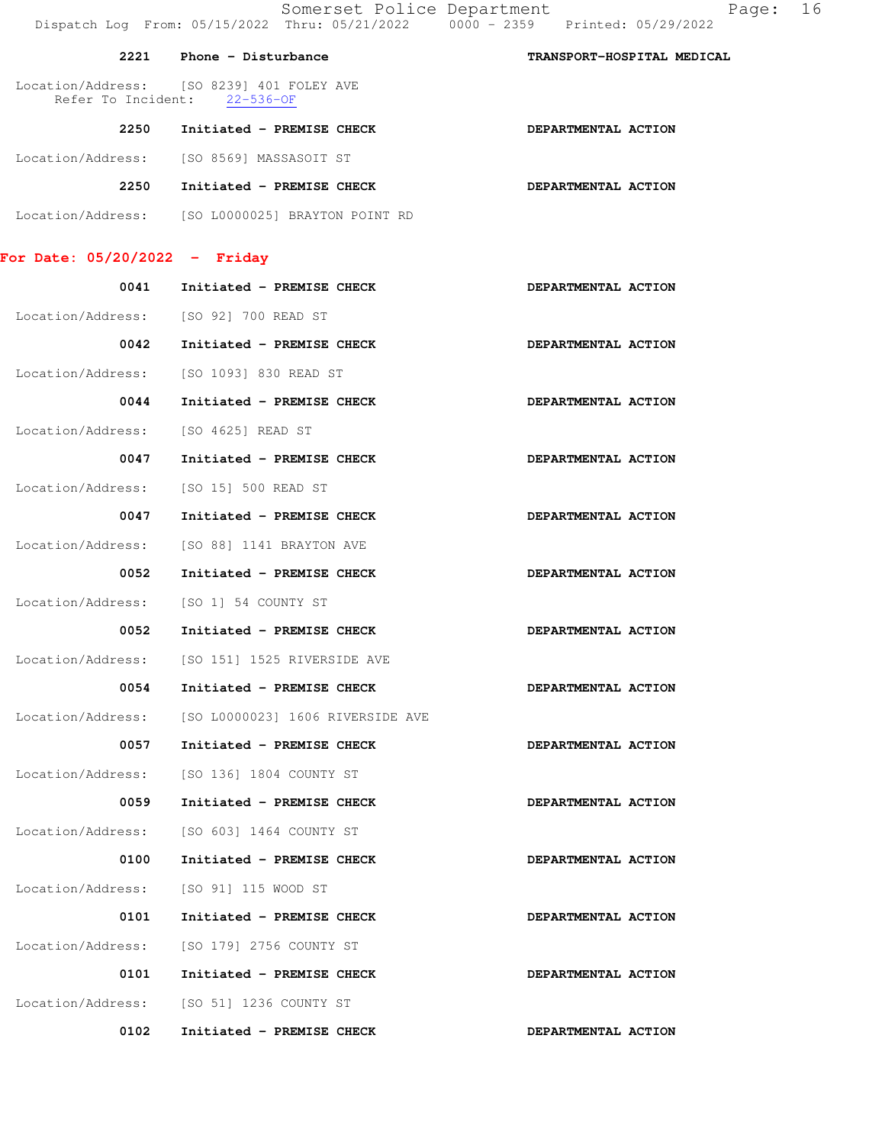|                               | Somerset Police Department<br>Dispatch Log From: 05/15/2022 Thru: 05/21/2022   0000 - 2359   Printed: 05/29/2022 | 16<br>Page:                |
|-------------------------------|------------------------------------------------------------------------------------------------------------------|----------------------------|
| 2221                          | Phone - Disturbance                                                                                              | TRANSPORT-HOSPITAL MEDICAL |
|                               | Location/Address: [SO 8239] 401 FOLEY AVE<br>Refer To Incident: 22-536-OF                                        |                            |
| 2250                          | Initiated - PREMISE CHECK                                                                                        | DEPARTMENTAL ACTION        |
|                               | Location/Address: [SO 8569] MASSASOIT ST                                                                         |                            |
| 2250                          | Initiated - PREMISE CHECK                                                                                        | DEPARTMENTAL ACTION        |
|                               | Location/Address: [SO L0000025] BRAYTON POINT RD                                                                 |                            |
| For Date: 05/20/2022 - Friday |                                                                                                                  |                            |
|                               | 0041 Initiated - PREMISE CHECK                                                                                   | DEPARTMENTAL ACTION        |
|                               | Location/Address: [SO 92] 700 READ ST                                                                            |                            |
| 0042                          | Initiated - PREMISE CHECK                                                                                        | DEPARTMENTAL ACTION        |
| Location/Address:             | [SO 1093] 830 READ ST                                                                                            |                            |
| 0044                          | Initiated - PREMISE CHECK                                                                                        | DEPARTMENTAL ACTION        |
| Location/Address:             | [SO 4625] READ ST                                                                                                |                            |
| 0047                          | Initiated - PREMISE CHECK                                                                                        | DEPARTMENTAL ACTION        |
| Location/Address:             | [SO 15] 500 READ ST                                                                                              |                            |
| 0047                          | Initiated - PREMISE CHECK                                                                                        | DEPARTMENTAL ACTION        |
| Location/Address:             | [SO 88] 1141 BRAYTON AVE                                                                                         |                            |
| 0052                          | Initiated - PREMISE CHECK                                                                                        | DEPARTMENTAL ACTION        |
| Location/Address:             | [SO 1] 54 COUNTY ST                                                                                              |                            |
| 0052                          | Initiated - PREMISE CHECK                                                                                        | DEPARTMENTAL ACTION        |
| Location/Address:             | [SO 151] 1525 RIVERSIDE AVE                                                                                      |                            |
| 0054                          | Initiated - PREMISE CHECK                                                                                        | DEPARTMENTAL ACTION        |
| Location/Address:             | [SO L0000023] 1606 RIVERSIDE AVE                                                                                 |                            |
| 0057                          | Initiated - PREMISE CHECK                                                                                        | DEPARTMENTAL ACTION        |
| Location/Address:             | [SO 136] 1804 COUNTY ST                                                                                          |                            |
| 0059                          | Initiated - PREMISE CHECK                                                                                        | DEPARTMENTAL ACTION        |
| Location/Address:             | [SO 603] 1464 COUNTY ST                                                                                          |                            |
| 0100                          | Initiated - PREMISE CHECK                                                                                        | DEPARTMENTAL ACTION        |
| Location/Address:             | [SO 91] 115 WOOD ST                                                                                              |                            |
| 0101                          | Initiated - PREMISE CHECK                                                                                        | DEPARTMENTAL ACTION        |
| Location/Address:             | [SO 179] 2756 COUNTY ST                                                                                          |                            |
| 0101                          | Initiated - PREMISE CHECK                                                                                        | DEPARTMENTAL ACTION        |
| Location/Address:             | [SO 51] 1236 COUNTY ST                                                                                           |                            |
| 0102                          | Initiated - PREMISE CHECK                                                                                        | DEPARTMENTAL ACTION        |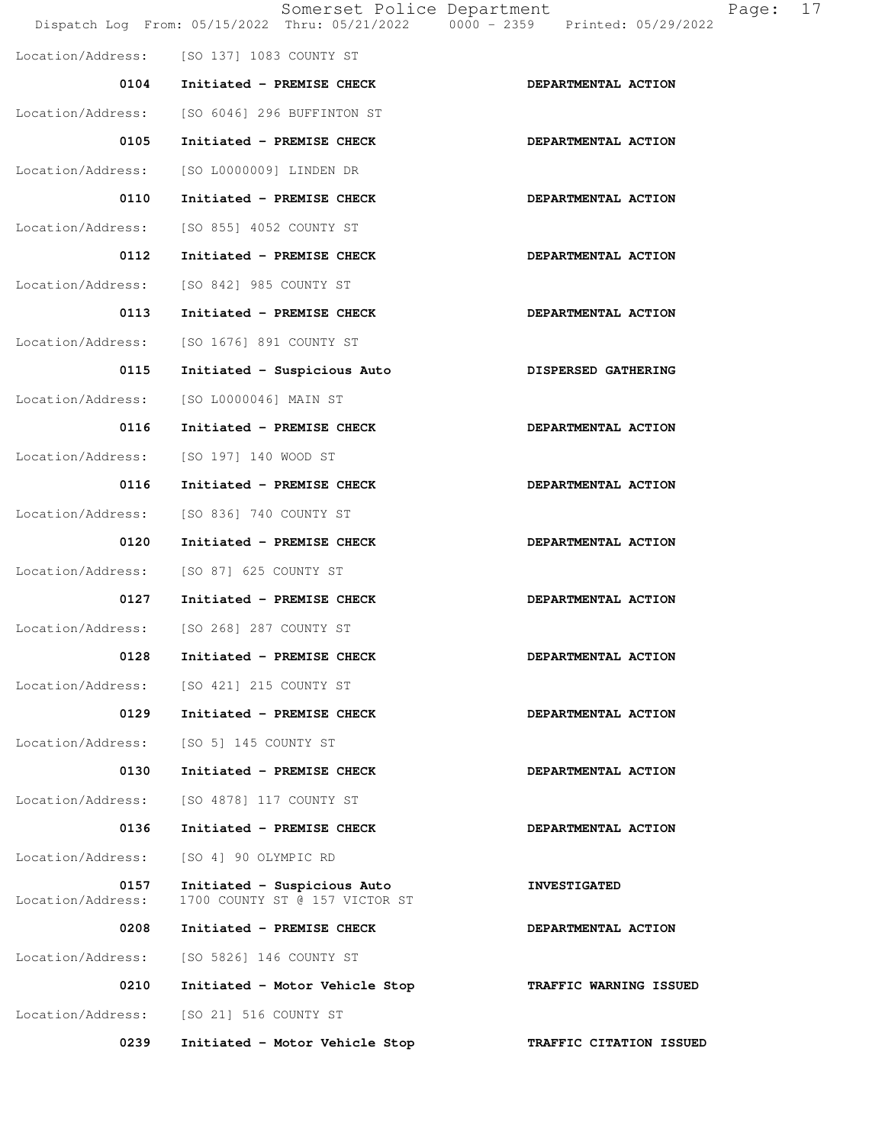|                           | Somerset Police Department<br>Dispatch Log From: 05/15/2022 Thru: 05/21/2022 | 0000 - 2359 Printed: 05/29/2022 |
|---------------------------|------------------------------------------------------------------------------|---------------------------------|
|                           | Location/Address: [SO 137] 1083 COUNTY ST                                    |                                 |
|                           | 0104 Initiated - PREMISE CHECK                                               | DEPARTMENTAL ACTION             |
| Location/Address:         | [SO 6046] 296 BUFFINTON ST                                                   |                                 |
| 0105                      | Initiated - PREMISE CHECK                                                    | DEPARTMENTAL ACTION             |
|                           | Location/Address: [SO L0000009] LINDEN DR                                    |                                 |
| 0110                      | Initiated - PREMISE CHECK                                                    | DEPARTMENTAL ACTION             |
| Location/Address:         | [SO 855] 4052 COUNTY ST                                                      |                                 |
| 0112                      | Initiated - PREMISE CHECK                                                    | DEPARTMENTAL ACTION             |
| Location/Address:         | [SO 842] 985 COUNTY ST                                                       |                                 |
| 0113                      | Initiated - PREMISE CHECK                                                    | DEPARTMENTAL ACTION             |
| Location/Address:         | [SO 1676] 891 COUNTY ST                                                      |                                 |
| 0115                      | Initiated - Suspicious Auto                                                  | DISPERSED GATHERING             |
| Location/Address:         | [SO L0000046] MAIN ST                                                        |                                 |
| 0116                      | Initiated - PREMISE CHECK                                                    | DEPARTMENTAL ACTION             |
| Location/Address:         | [SO 197] 140 WOOD ST                                                         |                                 |
| 0116                      | Initiated - PREMISE CHECK                                                    | DEPARTMENTAL ACTION             |
| Location/Address:         | [SO 836] 740 COUNTY ST                                                       |                                 |
| 0120                      | Initiated - PREMISE CHECK                                                    | DEPARTMENTAL ACTION             |
| Location/Address:         | [SO 87] 625 COUNTY ST                                                        |                                 |
| 0127                      | Initiated - PREMISE CHECK                                                    | DEPARTMENTAL ACTION             |
|                           | Location/Address: [SO 268] 287 COUNTY ST                                     |                                 |
| 0128                      | Initiated - PREMISE CHECK                                                    | DEPARTMENTAL ACTION             |
| Location/Address:         | [SO 421] 215 COUNTY ST                                                       |                                 |
| 0129                      | Initiated - PREMISE CHECK                                                    | DEPARTMENTAL ACTION             |
| Location/Address:         | [SO 5] 145 COUNTY ST                                                         |                                 |
| 0130                      | Initiated - PREMISE CHECK                                                    | DEPARTMENTAL ACTION             |
| Location/Address:         | [SO 4878] 117 COUNTY ST                                                      |                                 |
| 0136                      | Initiated - PREMISE CHECK                                                    | DEPARTMENTAL ACTION             |
| Location/Address:         | [SO 4] 90 OLYMPIC RD                                                         |                                 |
| 0157<br>Location/Address: | Initiated - Suspicious Auto<br>1700 COUNTY ST @ 157 VICTOR ST                | <b>INVESTIGATED</b>             |
| 0208                      | Initiated - PREMISE CHECK                                                    | DEPARTMENTAL ACTION             |
| Location/Address:         | [SO 5826] 146 COUNTY ST                                                      |                                 |
| 0210                      | Initiated - Motor Vehicle Stop                                               | TRAFFIC WARNING ISSUED          |
| Location/Address:         | [SO 21] 516 COUNTY ST                                                        |                                 |
| 0239                      | Initiated - Motor Vehicle Stop                                               | TRAFFIC CITATION ISSUED         |

Page: 17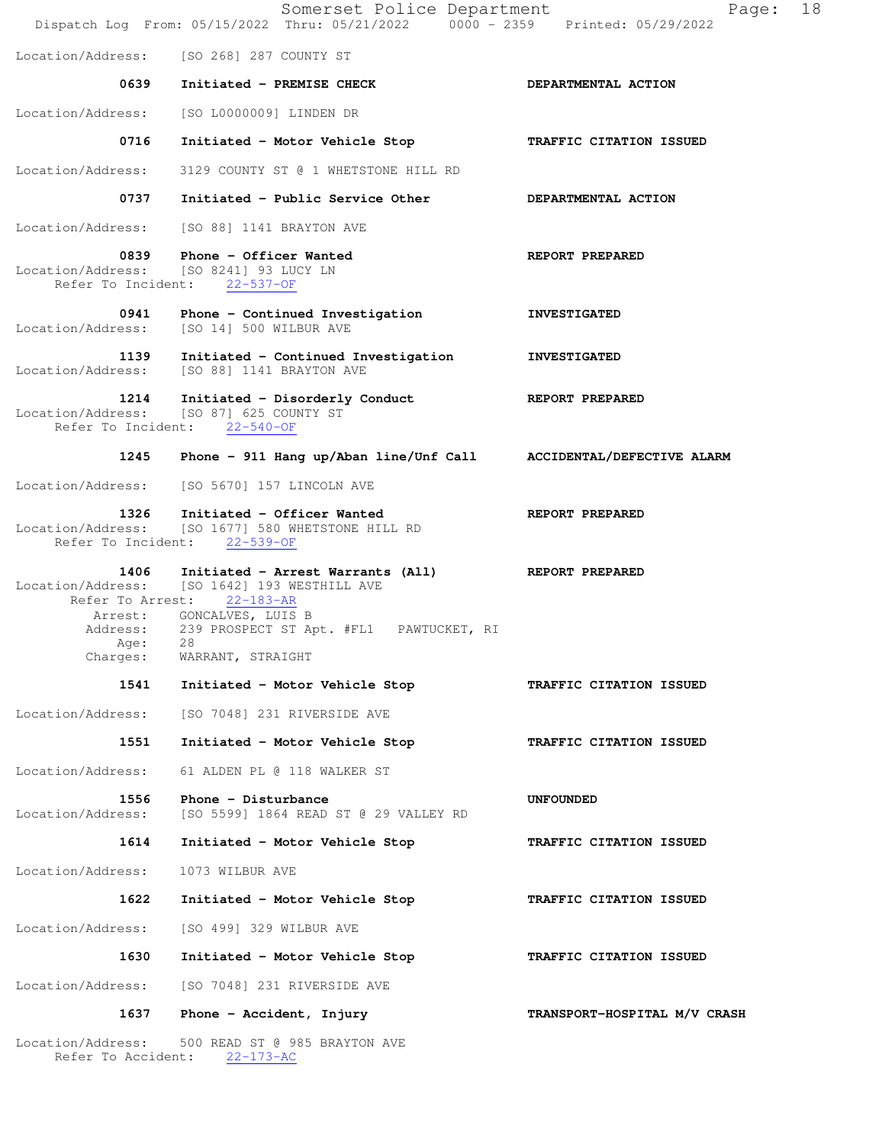|                                         | Somerset Police Department<br>Dispatch Log From: 05/15/2022 Thru: 05/21/2022 0000 - 2359 Printed: 05/29/2022         | 18<br>Page:                  |
|-----------------------------------------|----------------------------------------------------------------------------------------------------------------------|------------------------------|
|                                         | Location/Address: [SO 268] 287 COUNTY ST                                                                             |                              |
| 0639                                    | Initiated - PREMISE CHECK                                                                                            | DEPARTMENTAL ACTION          |
| Location/Address:                       | [SO L0000009] LINDEN DR                                                                                              |                              |
| 0716                                    | Initiated - Motor Vehicle Stop                                                                                       | TRAFFIC CITATION ISSUED      |
| Location/Address:                       | 3129 COUNTY ST @ 1 WHETSTONE HILL RD                                                                                 |                              |
| 0737                                    | Initiated - Public Service Other                                                                                     | DEPARTMENTAL ACTION          |
|                                         | Location/Address: [SO 88] 1141 BRAYTON AVE                                                                           |                              |
| 0839                                    | Phone - Officer Wanted<br>Location/Address: [SO 8241] 93 LUCY LN<br>Refer To Incident: 22-537-OF                     | REPORT PREPARED              |
| Location/Address:                       | 0941 Phone - Continued Investigation<br>[SO 14] 500 WILBUR AVE                                                       | <b>INVESTIGATED</b>          |
| Location/Address:                       | 1139 Initiated - Continued Investigation<br>[SO 88] 1141 BRAYTON AVE                                                 | <b>INVESTIGATED</b>          |
| 1214                                    | Initiated - Disorderly Conduct<br>Location/Address: [SO 87] 625 COUNTY ST<br>Refer To Incident: 22-540-OF            | <b>REPORT PREPARED</b>       |
| 1245                                    | Phone - 911 Hang up/Aban line/Unf Call ACCIDENTAL/DEFECTIVE ALARM                                                    |                              |
| Location/Address:                       | [SO 5670] 157 LINCOLN AVE                                                                                            |                              |
| 1326                                    | Initiated - Officer Wanted<br>Location/Address: [SO 1677] 580 WHETSTONE HILL RD<br>Refer To Incident: 22-539-OF      | REPORT PREPARED              |
| 1406<br>Refer To Arrest:                | Initiated - Arrest Warrants (All) REPORT PREPARED<br>Location/Address: [SO 1642] 193 WESTHILL AVE<br>$22 - 183 - AR$ |                              |
|                                         | Arrest: GONCALVES, LUIS B<br>Address: 239 PROSPECT ST Apt. #FL1 PAWTUCKET, RI                                        |                              |
| Age:<br>Charges:                        | 28<br>WARRANT, STRAIGHT                                                                                              |                              |
| 1541                                    | Initiated - Motor Vehicle Stop                                                                                       | TRAFFIC CITATION ISSUED      |
| Location/Address:                       | [SO 7048] 231 RIVERSIDE AVE                                                                                          |                              |
| 1551                                    | Initiated - Motor Vehicle Stop                                                                                       | TRAFFIC CITATION ISSUED      |
| Location/Address:                       | 61 ALDEN PL @ 118 WALKER ST                                                                                          |                              |
| 1556<br>Location/Address:               | Phone - Disturbance<br>[SO 5599] 1864 READ ST @ 29 VALLEY RD                                                         | <b>UNFOUNDED</b>             |
| 1614                                    | Initiated - Motor Vehicle Stop                                                                                       | TRAFFIC CITATION ISSUED      |
| Location/Address:                       | 1073 WILBUR AVE                                                                                                      |                              |
| 1622                                    | Initiated - Motor Vehicle Stop                                                                                       | TRAFFIC CITATION ISSUED      |
| Location/Address:                       | [SO 499] 329 WILBUR AVE                                                                                              |                              |
| 1630                                    | Initiated - Motor Vehicle Stop                                                                                       | TRAFFIC CITATION ISSUED      |
| Location/Address:                       | [SO 7048] 231 RIVERSIDE AVE                                                                                          |                              |
| 1637                                    | Phone - Accident, Injury                                                                                             | TRANSPORT-HOSPITAL M/V CRASH |
| Location/Address:<br>Refer To Accident: | 500 READ ST @ 985 BRAYTON AVE<br>$22 - 173 - AC$                                                                     |                              |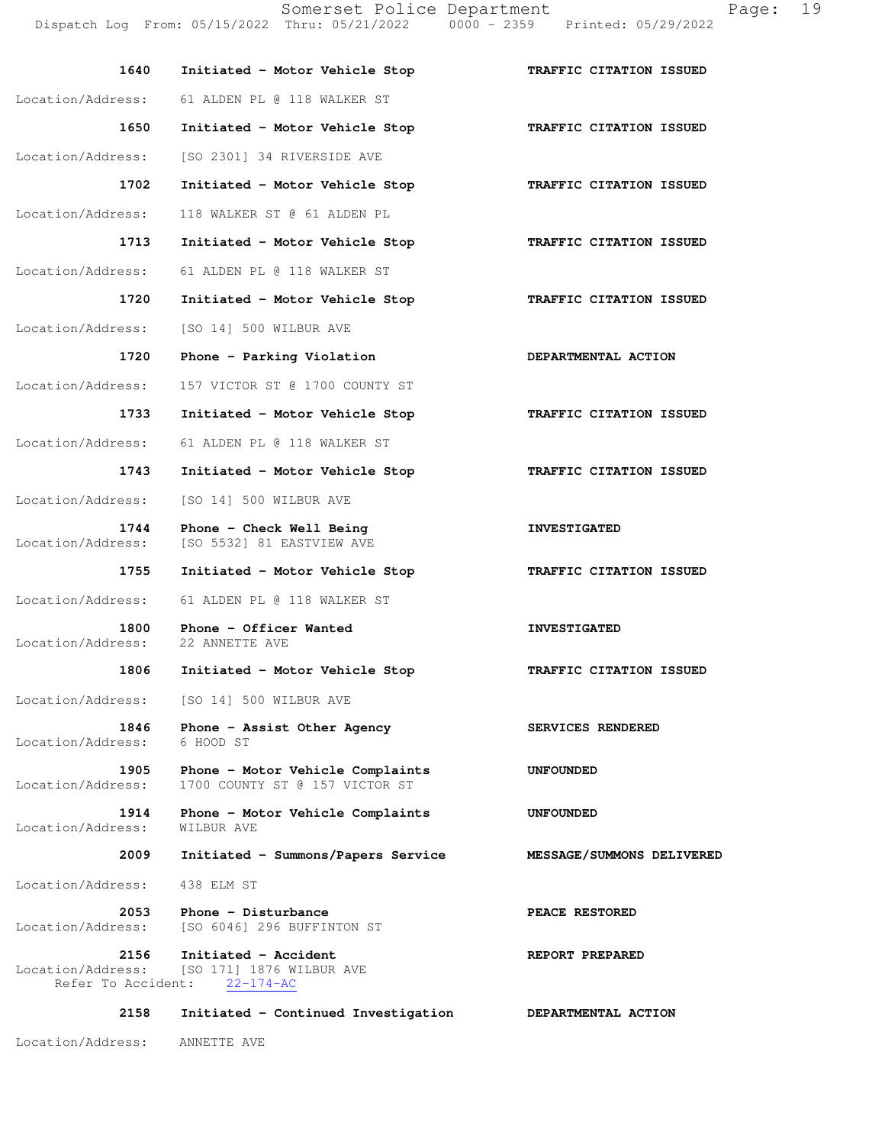Somerset Police Department Fage: 19 Dispatch Log From: 05/15/2022 Thru: 05/21/2022 0000 - 2359 Printed: 05/29/2022

| 1640                                            | Initiated - Motor Vehicle Stop                                      | TRAFFIC CITATION ISSUED   |
|-------------------------------------------------|---------------------------------------------------------------------|---------------------------|
| Location/Address:                               | 61 ALDEN PL @ 118 WALKER ST                                         |                           |
| 1650                                            | Initiated - Motor Vehicle Stop                                      | TRAFFIC CITATION ISSUED   |
| Location/Address:                               | [SO 2301] 34 RIVERSIDE AVE                                          |                           |
| 1702                                            | Initiated - Motor Vehicle Stop                                      | TRAFFIC CITATION ISSUED   |
| Location/Address:                               | 118 WALKER ST @ 61 ALDEN PL                                         |                           |
| 1713                                            | Initiated - Motor Vehicle Stop                                      | TRAFFIC CITATION ISSUED   |
| Location/Address:                               | 61 ALDEN PL @ 118 WALKER ST                                         |                           |
| 1720                                            | Initiated - Motor Vehicle Stop                                      | TRAFFIC CITATION ISSUED   |
| Location/Address:                               | [SO 14] 500 WILBUR AVE                                              |                           |
| 1720                                            | Phone - Parking Violation                                           | DEPARTMENTAL ACTION       |
| Location/Address:                               | 157 VICTOR ST @ 1700 COUNTY ST                                      |                           |
| 1733                                            | Initiated - Motor Vehicle Stop                                      | TRAFFIC CITATION ISSUED   |
| Location/Address:                               | 61 ALDEN PL @ 118 WALKER ST                                         |                           |
| 1743                                            | Initiated - Motor Vehicle Stop                                      | TRAFFIC CITATION ISSUED   |
| Location/Address:                               | [SO 14] 500 WILBUR AVE                                              |                           |
| 1744<br>Location/Address:                       | Phone - Check Well Being<br>[SO 5532] 81 EASTVIEW AVE               | <b>INVESTIGATED</b>       |
| 1755                                            | Initiated - Motor Vehicle Stop                                      | TRAFFIC CITATION ISSUED   |
| Location/Address:                               | 61 ALDEN PL @ 118 WALKER ST                                         |                           |
| 1800<br>Location/Address:                       | Phone - Officer Wanted<br>22 ANNETTE AVE                            | <b>INVESTIGATED</b>       |
| 1806                                            | Initiated - Motor Vehicle Stop                                      | TRAFFIC CITATION ISSUED   |
| Location/Address:                               | [SO 14] 500 WILBUR AVE                                              |                           |
| 1846<br>Location/Address:                       | Phone - Assist Other Agency<br>6 HOOD ST                            | SERVICES RENDERED         |
| 1905<br>Location/Address:                       | Phone - Motor Vehicle Complaints<br>1700 COUNTY ST @ 157 VICTOR ST  | <b>UNFOUNDED</b>          |
| 1914<br>Location/Address:                       | Phone - Motor Vehicle Complaints<br>WILBUR AVE                      | <b>UNFOUNDED</b>          |
| 2009                                            | Initiated - Summons/Papers Service                                  | MESSAGE/SUMMONS DELIVERED |
| Location/Address:                               | 438 ELM ST                                                          |                           |
| 2053<br>Location/Address:                       | Phone - Disturbance<br>[SO 6046] 296 BUFFINTON ST                   | PEACE RESTORED            |
| 2156<br>Location/Address:<br>Refer To Accident: | Initiated - Accident<br>[SO 171] 1876 WILBUR AVE<br>$22 - 174 - AC$ | REPORT PREPARED           |
| 2158                                            | Initiated - Continued Investigation                                 | DEPARTMENTAL ACTION       |

Location/Address: ANNETTE AVE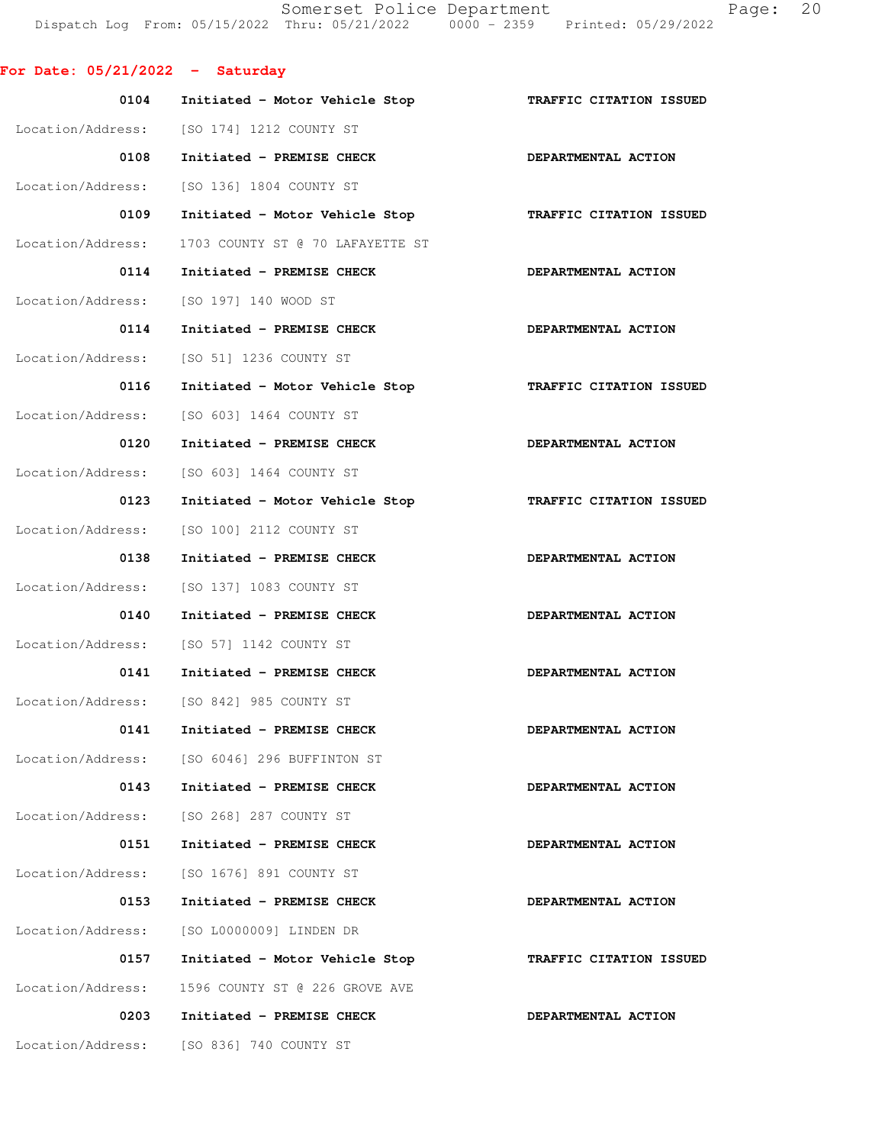Somerset Police Department Page: 20 Dispatch Log From: 05/15/2022 Thru: 05/21/2022 0000 - 2359 Printed: 05/29/2022

**For Date: 05/21/2022 - Saturday**

| 0104              | Initiated - Motor Vehicle Stop               | TRAFFIC CITATION ISSUED        |
|-------------------|----------------------------------------------|--------------------------------|
|                   | Location/Address: [SO 174] 1212 COUNTY ST    |                                |
| 0108              | Initiated - PREMISE CHECK                    | DEPARTMENTAL ACTION            |
| Location/Address: | [SO 136] 1804 COUNTY ST                      |                                |
| 0109              | Initiated - Motor Vehicle Stop               | <b>TRAFFIC CITATION ISSUED</b> |
| Location/Address: | 1703 COUNTY ST @ 70 LAFAYETTE ST             |                                |
| 0114              | Initiated - PREMISE CHECK                    | DEPARTMENTAL ACTION            |
| Location/Address: | [SO 197] 140 WOOD ST                         |                                |
| 0114              | Initiated - PREMISE CHECK                    | DEPARTMENTAL ACTION            |
|                   | Location/Address: [SO 51] 1236 COUNTY ST     |                                |
| 0116              | Initiated - Motor Vehicle Stop               | TRAFFIC CITATION ISSUED        |
| Location/Address: | [SO 603] 1464 COUNTY ST                      |                                |
| 0120              | Initiated - PREMISE CHECK                    | DEPARTMENTAL ACTION            |
| Location/Address: | [SO 603] 1464 COUNTY ST                      |                                |
| 0123              | Initiated - Motor Vehicle Stop               | TRAFFIC CITATION ISSUED        |
| Location/Address: | [SO 100] 2112 COUNTY ST                      |                                |
| 0138              | Initiated - PREMISE CHECK                    | DEPARTMENTAL ACTION            |
| Location/Address: | [SO 137] 1083 COUNTY ST                      |                                |
| 0140              | Initiated - PREMISE CHECK                    | DEPARTMENTAL ACTION            |
|                   | Location/Address: [SO 57] 1142 COUNTY ST     |                                |
| 0141              | Initiated - PREMISE CHECK                    | DEPARTMENTAL ACTION            |
|                   | Location/Address: [SO 842] 985 COUNTY ST     |                                |
| 0141              | Initiated - PREMISE CHECK                    | DEPARTMENTAL ACTION            |
|                   | Location/Address: [SO 6046] 296 BUFFINTON ST |                                |
| 0143              | Initiated - PREMISE CHECK                    | DEPARTMENTAL ACTION            |
|                   | Location/Address: [SO 268] 287 COUNTY ST     |                                |
| 0151              | Initiated - PREMISE CHECK                    | DEPARTMENTAL ACTION            |
| Location/Address: | [SO 1676] 891 COUNTY ST                      |                                |
| 0153              | Initiated - PREMISE CHECK                    | DEPARTMENTAL ACTION            |
| Location/Address: | [SO L0000009] LINDEN DR                      |                                |
| 0157              | Initiated - Motor Vehicle Stop               | TRAFFIC CITATION ISSUED        |
| Location/Address: | 1596 COUNTY ST @ 226 GROVE AVE               |                                |
| 0203              | Initiated - PREMISE CHECK                    | DEPARTMENTAL ACTION            |
| Location/Address: | [SO 836] 740 COUNTY ST                       |                                |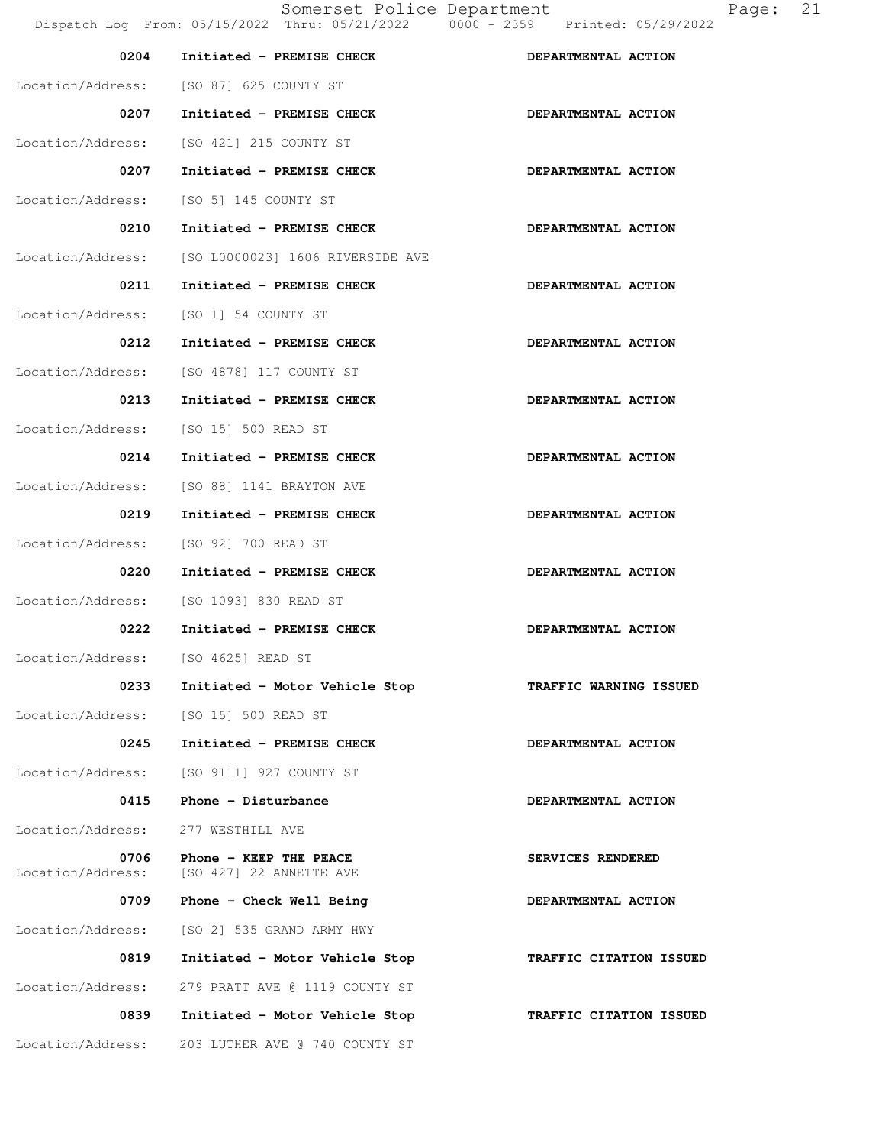| 0204                                  | Initiated - PREMISE CHECK                         | DEPARTMENTAL ACTION     |
|---------------------------------------|---------------------------------------------------|-------------------------|
|                                       | Location/Address: [SO 87] 625 COUNTY ST           |                         |
| 0207                                  | Initiated - PREMISE CHECK                         | DEPARTMENTAL ACTION     |
| Location/Address:                     | [SO 421] 215 COUNTY ST                            |                         |
| 0207                                  | Initiated - PREMISE CHECK                         | DEPARTMENTAL ACTION     |
|                                       | Location/Address: [SO 5] 145 COUNTY ST            |                         |
| 0210                                  | Initiated - PREMISE CHECK                         | DEPARTMENTAL ACTION     |
| Location/Address:                     | [SO L0000023] 1606 RIVERSIDE AVE                  |                         |
| 0211                                  | Initiated - PREMISE CHECK                         | DEPARTMENTAL ACTION     |
| Location/Address: [SO 1] 54 COUNTY ST |                                                   |                         |
| 0212                                  | Initiated - PREMISE CHECK                         | DEPARTMENTAL ACTION     |
|                                       | Location/Address: [SO 4878] 117 COUNTY ST         |                         |
| 0213                                  | Initiated - PREMISE CHECK                         | DEPARTMENTAL ACTION     |
| Location/Address: [SO 15] 500 READ ST |                                                   |                         |
| 0214                                  | Initiated - PREMISE CHECK                         | DEPARTMENTAL ACTION     |
| Location/Address:                     | [SO 88] 1141 BRAYTON AVE                          |                         |
| 0219                                  | Initiated - PREMISE CHECK                         | DEPARTMENTAL ACTION     |
| Location/Address:                     | [SO 92] 700 READ ST                               |                         |
| 0220                                  | Initiated - PREMISE CHECK                         | DEPARTMENTAL ACTION     |
|                                       | Location/Address: [SO 1093] 830 READ ST           |                         |
| 0222                                  | Initiated - PREMISE CHECK                         | DEPARTMENTAL ACTION     |
| Location/Address: [SO 4625] READ ST   |                                                   |                         |
| 0233                                  | Initiated - Motor Vehicle Stop                    | TRAFFIC WARNING ISSUED  |
| Location/Address: [SO 15] 500 READ ST |                                                   |                         |
| 0245                                  | Initiated - PREMISE CHECK                         | DEPARTMENTAL ACTION     |
| Location/Address:                     | [SO 9111] 927 COUNTY ST                           |                         |
| 0415                                  | Phone - Disturbance                               | DEPARTMENTAL ACTION     |
| Location/Address:                     | 277 WESTHILL AVE                                  |                         |
| 0706<br>Location/Address:             | Phone - KEEP THE PEACE<br>[SO 427] 22 ANNETTE AVE | SERVICES RENDERED       |
| 0709                                  | Phone - Check Well Being                          | DEPARTMENTAL ACTION     |
| Location/Address:                     | [SO 2] 535 GRAND ARMY HWY                         |                         |
| 0819                                  | Initiated - Motor Vehicle Stop                    | TRAFFIC CITATION ISSUED |
| Location/Address:                     | 279 PRATT AVE @ 1119 COUNTY ST                    |                         |
| 0839                                  | Initiated - Motor Vehicle Stop                    | TRAFFIC CITATION ISSUED |
| Location/Address:                     | 203 LUTHER AVE @ 740 COUNTY ST                    |                         |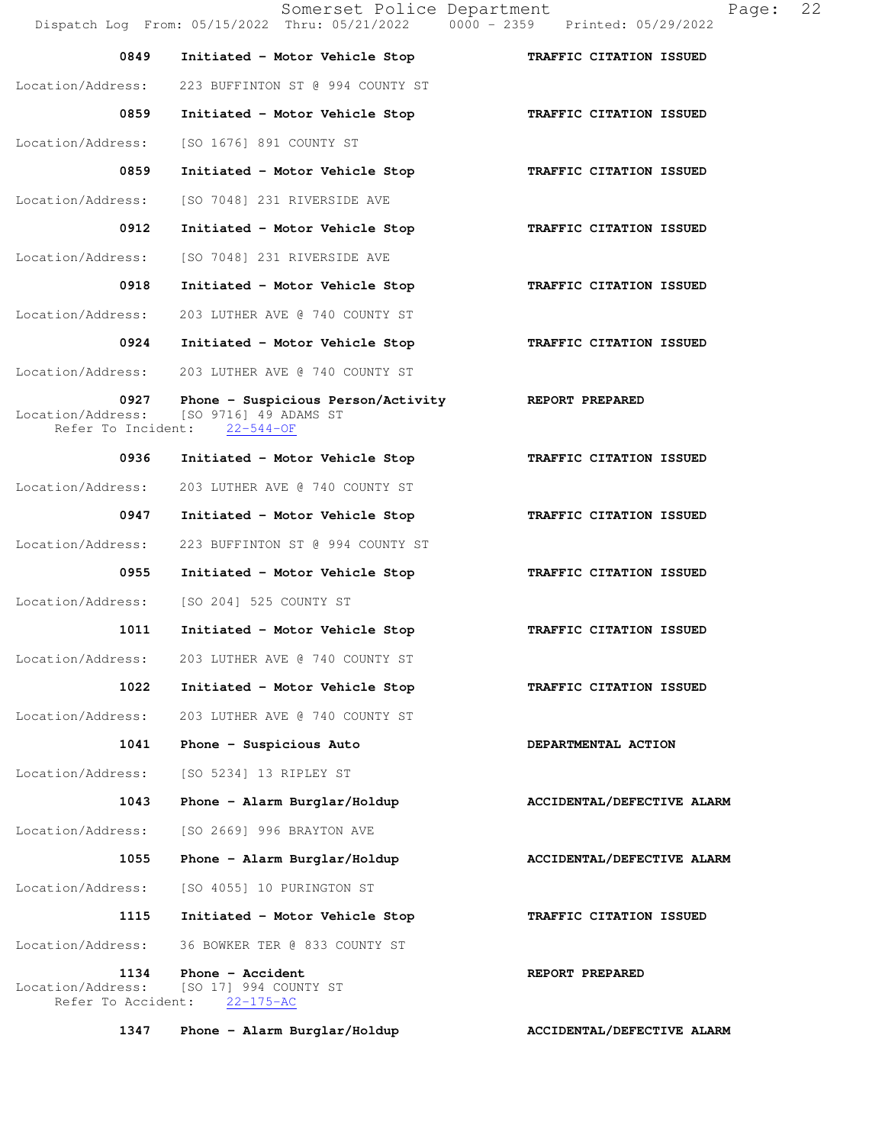Somerset Police Department Page: 22 Dispatch Log From: 05/15/2022 Thru: 05/21/2022 0000 - 2359 Printed: 05/29/2022  **0849 Initiated - Motor Vehicle Stop TRAFFIC CITATION ISSUED**  Location/Address: 223 BUFFINTON ST @ 994 COUNTY ST  **0859 Initiated - Motor Vehicle Stop TRAFFIC CITATION ISSUED**  Location/Address: [SO 1676] 891 COUNTY ST  **0859 Initiated - Motor Vehicle Stop TRAFFIC CITATION ISSUED**  Location/Address: [SO 7048] 231 RIVERSIDE AVE  **0912 Initiated - Motor Vehicle Stop TRAFFIC CITATION ISSUED**  Location/Address: [SO 7048] 231 RIVERSIDE AVE  **0918 Initiated - Motor Vehicle Stop TRAFFIC CITATION ISSUED**  Location/Address: 203 LUTHER AVE @ 740 COUNTY ST  **0924 Initiated - Motor Vehicle Stop TRAFFIC CITATION ISSUED**  Location/Address: 203 LUTHER AVE @ 740 COUNTY ST 0927 Phone - Suspicious Person/Activity **REPORT PREPARED** Location/Address: [SO 9716] 49 ADAMS ST<br>Refer To Incident: 22-544-OF Refer To Incident:  **0936 Initiated - Motor Vehicle Stop TRAFFIC CITATION ISSUED**  Location/Address: 203 LUTHER AVE @ 740 COUNTY ST 0947 Initiated - Motor Vehicle Stop **TRAFFIC CITATION ISSUED**  Location/Address: 223 BUFFINTON ST @ 994 COUNTY ST 0955 Initiated - Motor Vehicle Stop **TRAFFIC CITATION ISSUED** Location/Address: [SO 204] 525 COUNTY ST  **1011 Initiated - Motor Vehicle Stop TRAFFIC CITATION ISSUED**  Location/Address: 203 LUTHER AVE @ 740 COUNTY ST  **1022 Initiated - Motor Vehicle Stop TRAFFIC CITATION ISSUED**  Location/Address: 203 LUTHER AVE @ 740 COUNTY ST  **1041 Phone - Suspicious Auto DEPARTMENTAL ACTION**  Location/Address: [SO 5234] 13 RIPLEY ST 1043 Phone - Alarm Burglar/Holdup **ACCIDENTAL/DEFECTIVE ALARM**  Location/Address: [SO 2669] 996 BRAYTON AVE  **1055 Phone - Alarm Burglar/Holdup ACCIDENTAL/DEFECTIVE ALARM**  Location/Address: [SO 4055] 10 PURINGTON ST  **1115 Initiated - Motor Vehicle Stop TRAFFIC CITATION ISSUED**  Location/Address: 36 BOWKER TER @ 833 COUNTY ST **1134** Phone - Accident **REPORT PREPARED**  Location/Address: [SO 17] 994 COUNTY ST Refer To Accident: 22-175-AC 1347 Phone - Alarm Burglar/Holdup **ACCIDENTAL/DEFECTIVE ALARM**